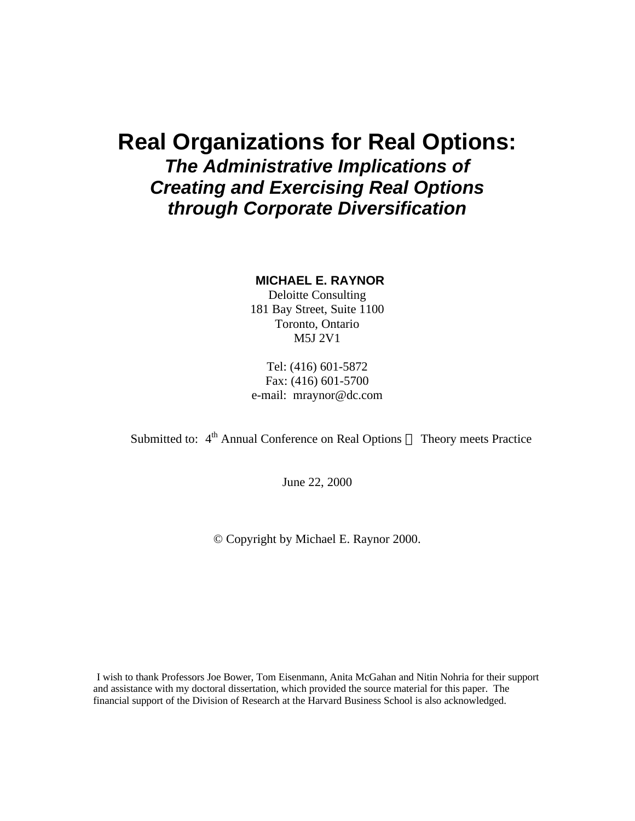## **Real Organizations for Real Options:** *The Administrative Implications of Creating and Exercising Real Options through Corporate Diversification*

## **MICHAEL E. RAYNOR**

Deloitte Consulting 181 Bay Street, Suite 1100 Toronto, Ontario M5J 2V1

Tel: (416) 601-5872 Fax: (416) 601-5700 e-mail: mraynor@dc.com

Submitted to:  $4^{\text{th}}$  Annual Conference on Real Options — Theory meets Practice

June 22, 2000

© Copyright by Michael E. Raynor 2000.

I wish to thank Professors Joe Bower, Tom Eisenmann, Anita McGahan and Nitin Nohria for their support and assistance with my doctoral dissertation, which provided the source material for this paper. The financial support of the Division of Research at the Harvard Business School is also acknowledged.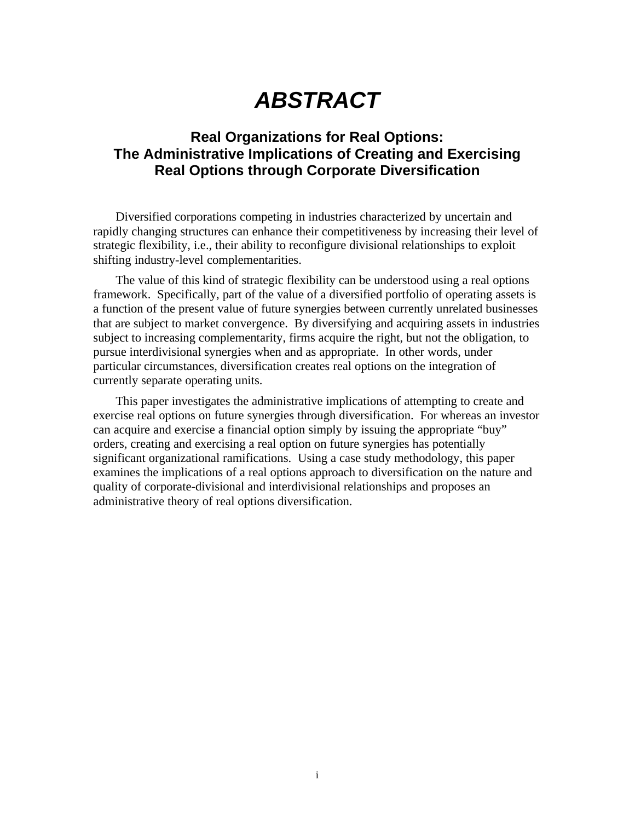# *ABSTRACT*

## **Real Organizations for Real Options: The Administrative Implications of Creating and Exercising Real Options through Corporate Diversification**

Diversified corporations competing in industries characterized by uncertain and rapidly changing structures can enhance their competitiveness by increasing their level of strategic flexibility, i.e., their ability to reconfigure divisional relationships to exploit shifting industry-level complementarities.

The value of this kind of strategic flexibility can be understood using a real options framework. Specifically, part of the value of a diversified portfolio of operating assets is a function of the present value of future synergies between currently unrelated businesses that are subject to market convergence. By diversifying and acquiring assets in industries subject to increasing complementarity, firms acquire the right, but not the obligation, to pursue interdivisional synergies when and as appropriate. In other words, under particular circumstances, diversification creates real options on the integration of currently separate operating units.

This paper investigates the administrative implications of attempting to create and exercise real options on future synergies through diversification. For whereas an investor can acquire and exercise a financial option simply by issuing the appropriate "buy" orders, creating and exercising a real option on future synergies has potentially significant organizational ramifications. Using a case study methodology, this paper examines the implications of a real options approach to diversification on the nature and quality of corporate-divisional and interdivisional relationships and proposes an administrative theory of real options diversification.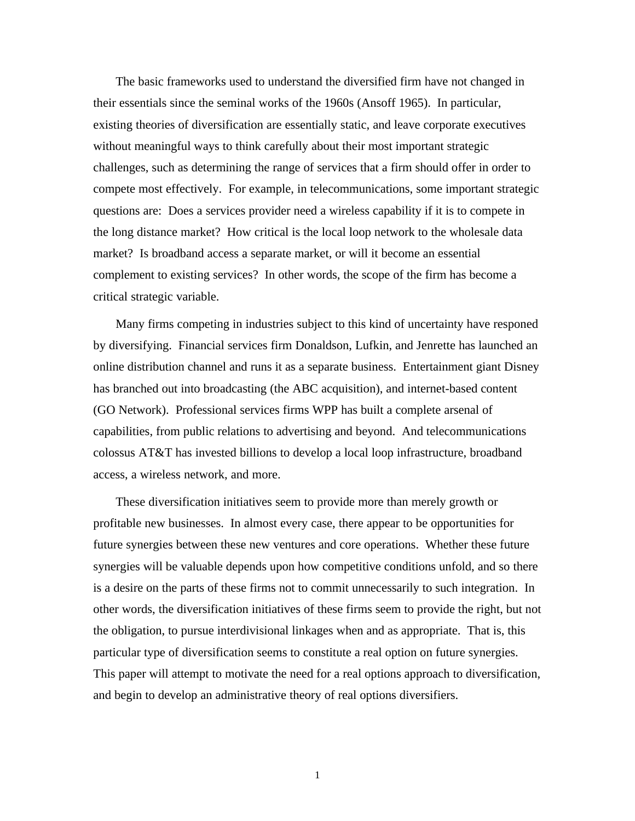The basic frameworks used to understand the diversified firm have not changed in their essentials since the seminal works of the 1960s (Ansoff 1965). In particular, existing theories of diversification are essentially static, and leave corporate executives without meaningful ways to think carefully about their most important strategic challenges, such as determining the range of services that a firm should offer in order to compete most effectively. For example, in telecommunications, some important strategic questions are: Does a services provider need a wireless capability if it is to compete in the long distance market? How critical is the local loop network to the wholesale data market? Is broadband access a separate market, or will it become an essential complement to existing services? In other words, the scope of the firm has become a critical strategic variable.

Many firms competing in industries subject to this kind of uncertainty have responed by diversifying. Financial services firm Donaldson, Lufkin, and Jenrette has launched an online distribution channel and runs it as a separate business. Entertainment giant Disney has branched out into broadcasting (the ABC acquisition), and internet-based content (GO Network). Professional services firms WPP has built a complete arsenal of capabilities, from public relations to advertising and beyond. And telecommunications colossus AT&T has invested billions to develop a local loop infrastructure, broadband access, a wireless network, and more.

These diversification initiatives seem to provide more than merely growth or profitable new businesses. In almost every case, there appear to be opportunities for future synergies between these new ventures and core operations. Whether these future synergies will be valuable depends upon how competitive conditions unfold, and so there is a desire on the parts of these firms not to commit unnecessarily to such integration. In other words, the diversification initiatives of these firms seem to provide the right, but not the obligation, to pursue interdivisional linkages when and as appropriate. That is, this particular type of diversification seems to constitute a real option on future synergies. This paper will attempt to motivate the need for a real options approach to diversification, and begin to develop an administrative theory of real options diversifiers.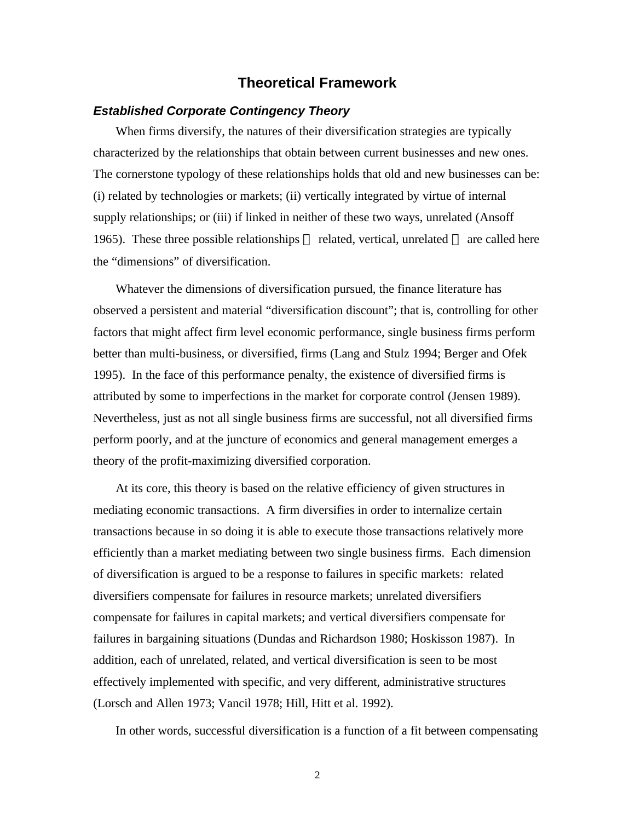## **Theoretical Framework**

## *Established Corporate Contingency Theory*

When firms diversify, the natures of their diversification strategies are typically characterized by the relationships that obtain between current businesses and new ones. The cornerstone typology of these relationships holds that old and new businesses can be: (i) related by technologies or markets; (ii) vertically integrated by virtue of internal supply relationships; or (iii) if linked in neither of these two ways, unrelated (Ansoff 1965). These three possible relationships — related, vertical, unrelated — are called here the "dimensions" of diversification.

Whatever the dimensions of diversification pursued, the finance literature has observed a persistent and material "diversification discount"; that is, controlling for other factors that might affect firm level economic performance, single business firms perform better than multi-business, or diversified, firms (Lang and Stulz 1994; Berger and Ofek 1995). In the face of this performance penalty, the existence of diversified firms is attributed by some to imperfections in the market for corporate control (Jensen 1989). Nevertheless, just as not all single business firms are successful, not all diversified firms perform poorly, and at the juncture of economics and general management emerges a theory of the profit-maximizing diversified corporation.

At its core, this theory is based on the relative efficiency of given structures in mediating economic transactions. A firm diversifies in order to internalize certain transactions because in so doing it is able to execute those transactions relatively more efficiently than a market mediating between two single business firms. Each dimension of diversification is argued to be a response to failures in specific markets: related diversifiers compensate for failures in resource markets; unrelated diversifiers compensate for failures in capital markets; and vertical diversifiers compensate for failures in bargaining situations (Dundas and Richardson 1980; Hoskisson 1987). In addition, each of unrelated, related, and vertical diversification is seen to be most effectively implemented with specific, and very different, administrative structures (Lorsch and Allen 1973; Vancil 1978; Hill, Hitt et al. 1992).

In other words, successful diversification is a function of a fit between compensating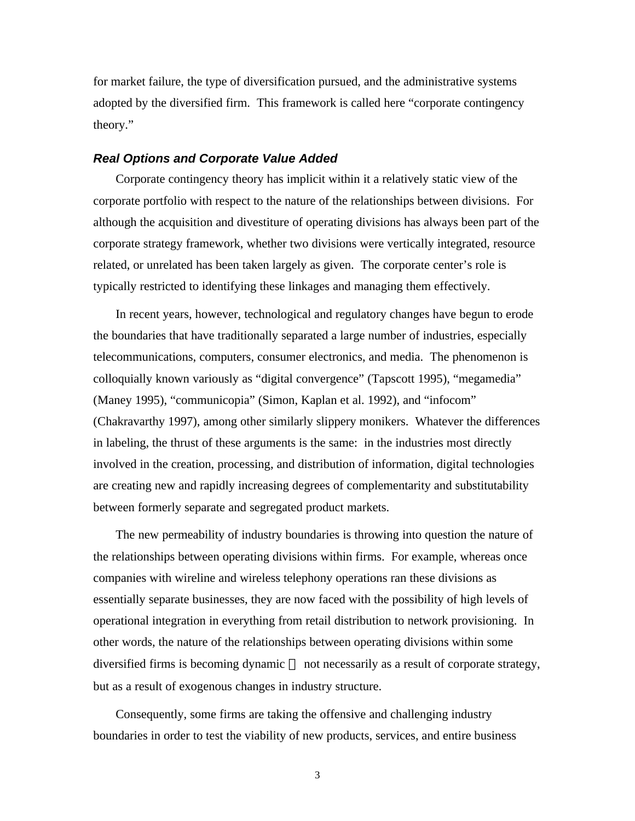for market failure, the type of diversification pursued, and the administrative systems adopted by the diversified firm. This framework is called here "corporate contingency theory."

## *Real Options and Corporate Value Added*

Corporate contingency theory has implicit within it a relatively static view of the corporate portfolio with respect to the nature of the relationships between divisions. For although the acquisition and divestiture of operating divisions has always been part of the corporate strategy framework, whether two divisions were vertically integrated, resource related, or unrelated has been taken largely as given. The corporate center's role is typically restricted to identifying these linkages and managing them effectively.

In recent years, however, technological and regulatory changes have begun to erode the boundaries that have traditionally separated a large number of industries, especially telecommunications, computers, consumer electronics, and media. The phenomenon is colloquially known variously as "digital convergence" (Tapscott 1995), "megamedia" (Maney 1995), "communicopia" (Simon, Kaplan et al. 1992), and "infocom" (Chakravarthy 1997), among other similarly slippery monikers. Whatever the differences in labeling, the thrust of these arguments is the same: in the industries most directly involved in the creation, processing, and distribution of information, digital technologies are creating new and rapidly increasing degrees of complementarity and substitutability between formerly separate and segregated product markets.

The new permeability of industry boundaries is throwing into question the nature of the relationships between operating divisions within firms. For example, whereas once companies with wireline and wireless telephony operations ran these divisions as essentially separate businesses, they are now faced with the possibility of high levels of operational integration in everything from retail distribution to network provisioning. In other words, the nature of the relationships between operating divisions within some diversified firms is becoming dynamic — not necessarily as a result of corporate strategy, but as a result of exogenous changes in industry structure.

Consequently, some firms are taking the offensive and challenging industry boundaries in order to test the viability of new products, services, and entire business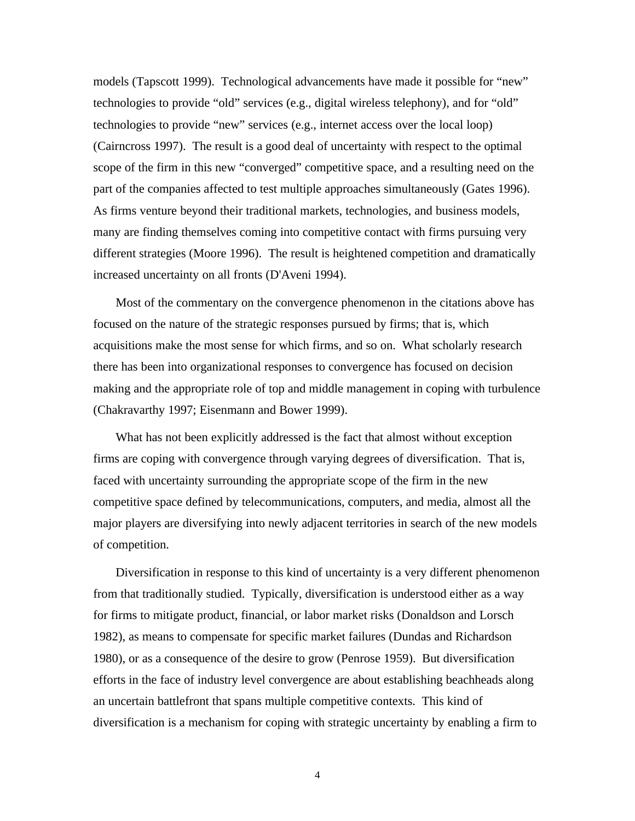models (Tapscott 1999). Technological advancements have made it possible for "new" technologies to provide "old" services (e.g., digital wireless telephony), and for "old" technologies to provide "new" services (e.g., internet access over the local loop) (Cairncross 1997). The result is a good deal of uncertainty with respect to the optimal scope of the firm in this new "converged" competitive space, and a resulting need on the part of the companies affected to test multiple approaches simultaneously (Gates 1996). As firms venture beyond their traditional markets, technologies, and business models, many are finding themselves coming into competitive contact with firms pursuing very different strategies (Moore 1996). The result is heightened competition and dramatically increased uncertainty on all fronts (D'Aveni 1994).

Most of the commentary on the convergence phenomenon in the citations above has focused on the nature of the strategic responses pursued by firms; that is, which acquisitions make the most sense for which firms, and so on. What scholarly research there has been into organizational responses to convergence has focused on decision making and the appropriate role of top and middle management in coping with turbulence (Chakravarthy 1997; Eisenmann and Bower 1999).

What has not been explicitly addressed is the fact that almost without exception firms are coping with convergence through varying degrees of diversification. That is, faced with uncertainty surrounding the appropriate scope of the firm in the new competitive space defined by telecommunications, computers, and media, almost all the major players are diversifying into newly adjacent territories in search of the new models of competition.

Diversification in response to this kind of uncertainty is a very different phenomenon from that traditionally studied. Typically, diversification is understood either as a way for firms to mitigate product, financial, or labor market risks (Donaldson and Lorsch 1982), as means to compensate for specific market failures (Dundas and Richardson 1980), or as a consequence of the desire to grow (Penrose 1959). But diversification efforts in the face of industry level convergence are about establishing beachheads along an uncertain battlefront that spans multiple competitive contexts. This kind of diversification is a mechanism for coping with strategic uncertainty by enabling a firm to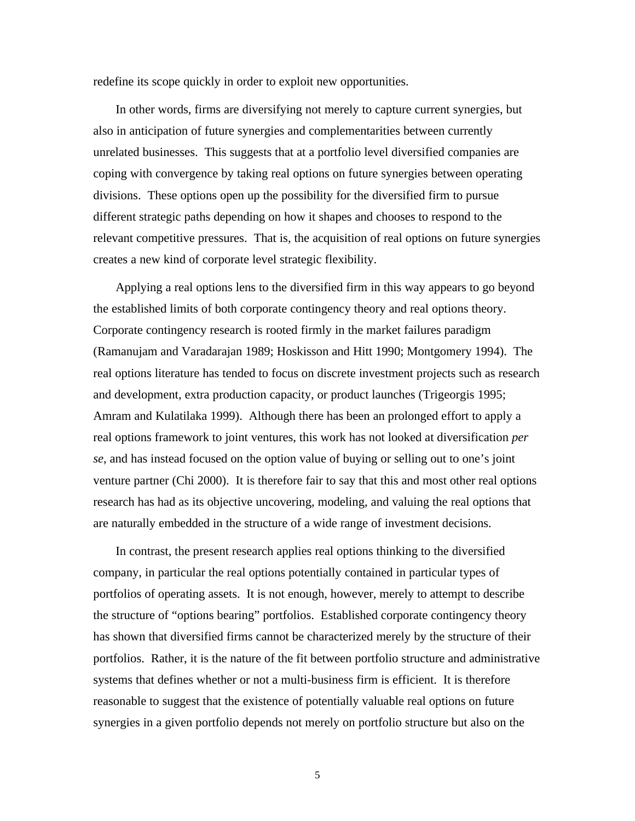redefine its scope quickly in order to exploit new opportunities.

In other words, firms are diversifying not merely to capture current synergies, but also in anticipation of future synergies and complementarities between currently unrelated businesses. This suggests that at a portfolio level diversified companies are coping with convergence by taking real options on future synergies between operating divisions. These options open up the possibility for the diversified firm to pursue different strategic paths depending on how it shapes and chooses to respond to the relevant competitive pressures. That is, the acquisition of real options on future synergies creates a new kind of corporate level strategic flexibility.

Applying a real options lens to the diversified firm in this way appears to go beyond the established limits of both corporate contingency theory and real options theory. Corporate contingency research is rooted firmly in the market failures paradigm (Ramanujam and Varadarajan 1989; Hoskisson and Hitt 1990; Montgomery 1994). The real options literature has tended to focus on discrete investment projects such as research and development, extra production capacity, or product launches (Trigeorgis 1995; Amram and Kulatilaka 1999). Although there has been an prolonged effort to apply a real options framework to joint ventures, this work has not looked at diversification *per se*, and has instead focused on the option value of buying or selling out to one's joint venture partner (Chi 2000). It is therefore fair to say that this and most other real options research has had as its objective uncovering, modeling, and valuing the real options that are naturally embedded in the structure of a wide range of investment decisions.

In contrast, the present research applies real options thinking to the diversified company, in particular the real options potentially contained in particular types of portfolios of operating assets. It is not enough, however, merely to attempt to describe the structure of "options bearing" portfolios. Established corporate contingency theory has shown that diversified firms cannot be characterized merely by the structure of their portfolios. Rather, it is the nature of the fit between portfolio structure and administrative systems that defines whether or not a multi-business firm is efficient. It is therefore reasonable to suggest that the existence of potentially valuable real options on future synergies in a given portfolio depends not merely on portfolio structure but also on the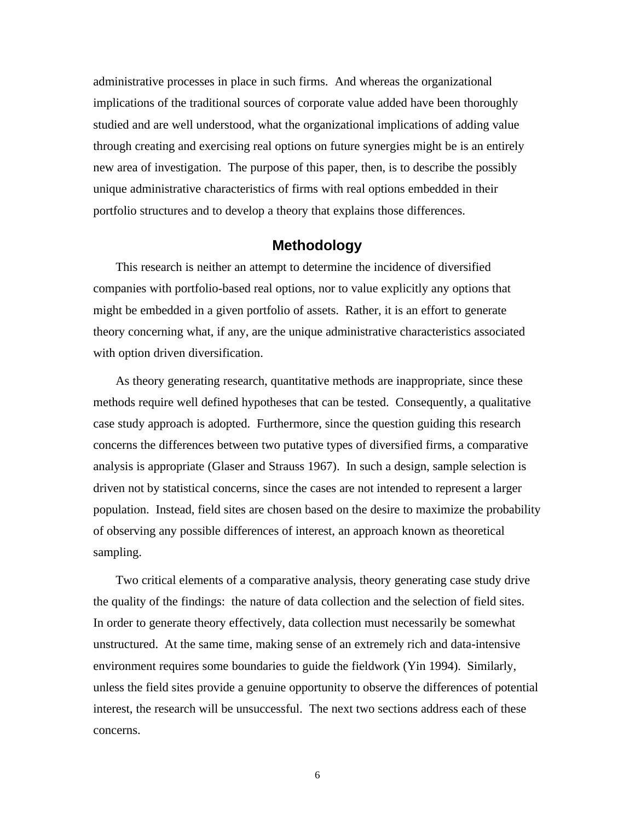administrative processes in place in such firms. And whereas the organizational implications of the traditional sources of corporate value added have been thoroughly studied and are well understood, what the organizational implications of adding value through creating and exercising real options on future synergies might be is an entirely new area of investigation. The purpose of this paper, then, is to describe the possibly unique administrative characteristics of firms with real options embedded in their portfolio structures and to develop a theory that explains those differences.

## **Methodology**

This research is neither an attempt to determine the incidence of diversified companies with portfolio-based real options, nor to value explicitly any options that might be embedded in a given portfolio of assets. Rather, it is an effort to generate theory concerning what, if any, are the unique administrative characteristics associated with option driven diversification.

As theory generating research, quantitative methods are inappropriate, since these methods require well defined hypotheses that can be tested. Consequently, a qualitative case study approach is adopted. Furthermore, since the question guiding this research concerns the differences between two putative types of diversified firms, a comparative analysis is appropriate (Glaser and Strauss 1967). In such a design, sample selection is driven not by statistical concerns, since the cases are not intended to represent a larger population. Instead, field sites are chosen based on the desire to maximize the probability of observing any possible differences of interest, an approach known as theoretical sampling.

Two critical elements of a comparative analysis, theory generating case study drive the quality of the findings: the nature of data collection and the selection of field sites. In order to generate theory effectively, data collection must necessarily be somewhat unstructured. At the same time, making sense of an extremely rich and data-intensive environment requires some boundaries to guide the fieldwork (Yin 1994). Similarly, unless the field sites provide a genuine opportunity to observe the differences of potential interest, the research will be unsuccessful. The next two sections address each of these concerns.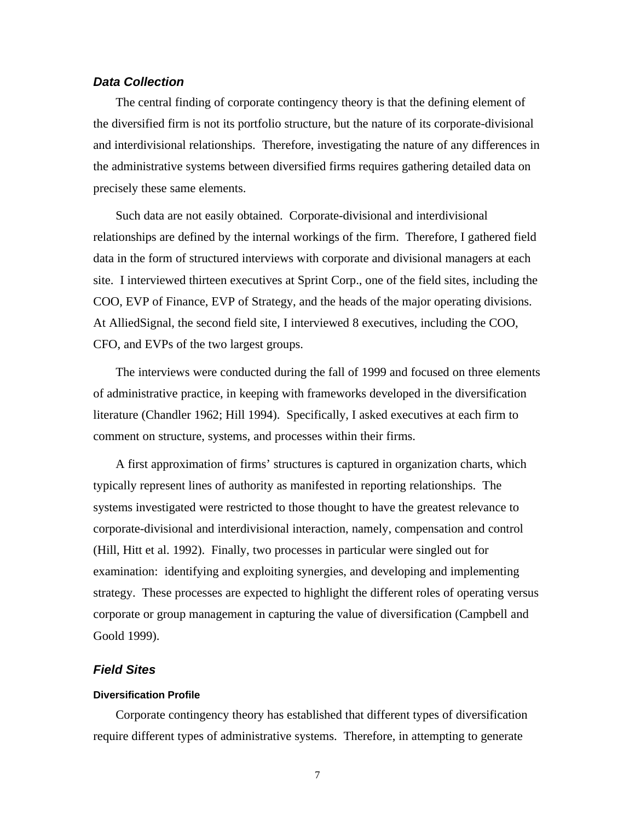## *Data Collection*

The central finding of corporate contingency theory is that the defining element of the diversified firm is not its portfolio structure, but the nature of its corporate-divisional and interdivisional relationships. Therefore, investigating the nature of any differences in the administrative systems between diversified firms requires gathering detailed data on precisely these same elements.

Such data are not easily obtained. Corporate-divisional and interdivisional relationships are defined by the internal workings of the firm. Therefore, I gathered field data in the form of structured interviews with corporate and divisional managers at each site. I interviewed thirteen executives at Sprint Corp., one of the field sites, including the COO, EVP of Finance, EVP of Strategy, and the heads of the major operating divisions. At AlliedSignal, the second field site, I interviewed 8 executives, including the COO, CFO, and EVPs of the two largest groups.

The interviews were conducted during the fall of 1999 and focused on three elements of administrative practice, in keeping with frameworks developed in the diversification literature (Chandler 1962; Hill 1994). Specifically, I asked executives at each firm to comment on structure, systems, and processes within their firms.

A first approximation of firms' structures is captured in organization charts, which typically represent lines of authority as manifested in reporting relationships. The systems investigated were restricted to those thought to have the greatest relevance to corporate-divisional and interdivisional interaction, namely, compensation and control (Hill, Hitt et al. 1992). Finally, two processes in particular were singled out for examination: identifying and exploiting synergies, and developing and implementing strategy. These processes are expected to highlight the different roles of operating versus corporate or group management in capturing the value of diversification (Campbell and Goold 1999).

## *Field Sites*

## **Diversification Profile**

Corporate contingency theory has established that different types of diversification require different types of administrative systems. Therefore, in attempting to generate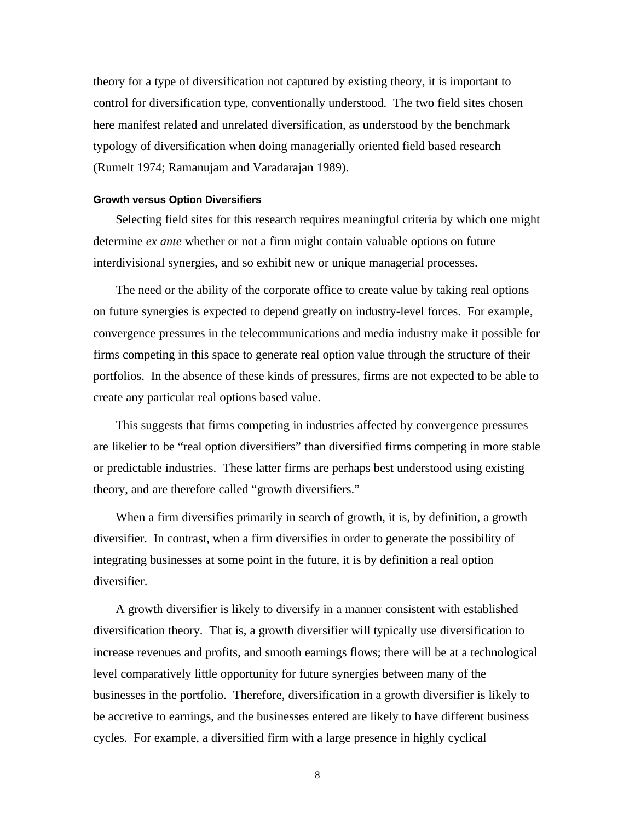theory for a type of diversification not captured by existing theory, it is important to control for diversification type, conventionally understood. The two field sites chosen here manifest related and unrelated diversification, as understood by the benchmark typology of diversification when doing managerially oriented field based research (Rumelt 1974; Ramanujam and Varadarajan 1989).

## **Growth versus Option Diversifiers**

Selecting field sites for this research requires meaningful criteria by which one might determine *ex ante* whether or not a firm might contain valuable options on future interdivisional synergies, and so exhibit new or unique managerial processes.

The need or the ability of the corporate office to create value by taking real options on future synergies is expected to depend greatly on industry-level forces. For example, convergence pressures in the telecommunications and media industry make it possible for firms competing in this space to generate real option value through the structure of their portfolios. In the absence of these kinds of pressures, firms are not expected to be able to create any particular real options based value.

This suggests that firms competing in industries affected by convergence pressures are likelier to be "real option diversifiers" than diversified firms competing in more stable or predictable industries. These latter firms are perhaps best understood using existing theory, and are therefore called "growth diversifiers."

When a firm diversifies primarily in search of growth, it is, by definition, a growth diversifier. In contrast, when a firm diversifies in order to generate the possibility of integrating businesses at some point in the future, it is by definition a real option diversifier.

A growth diversifier is likely to diversify in a manner consistent with established diversification theory. That is, a growth diversifier will typically use diversification to increase revenues and profits, and smooth earnings flows; there will be at a technological level comparatively little opportunity for future synergies between many of the businesses in the portfolio. Therefore, diversification in a growth diversifier is likely to be accretive to earnings, and the businesses entered are likely to have different business cycles. For example, a diversified firm with a large presence in highly cyclical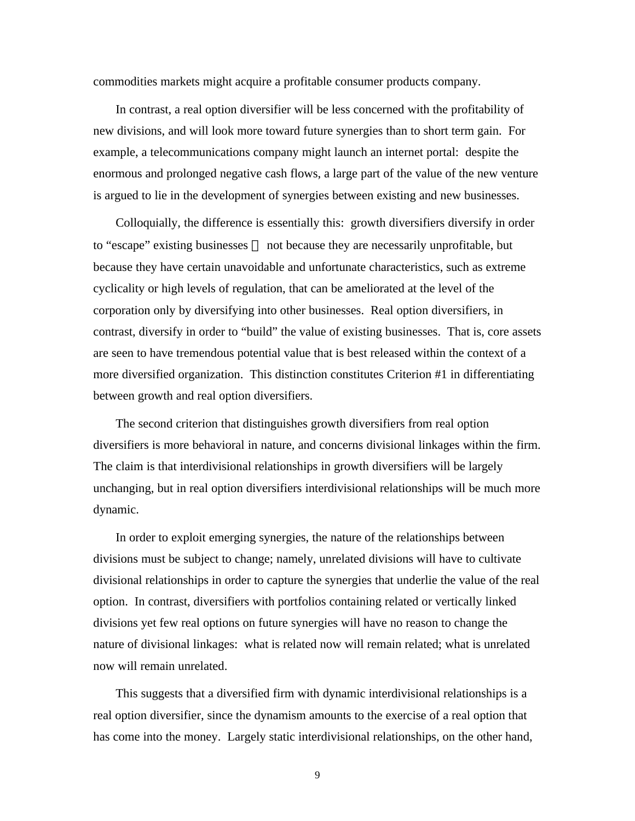commodities markets might acquire a profitable consumer products company.

In contrast, a real option diversifier will be less concerned with the profitability of new divisions, and will look more toward future synergies than to short term gain. For example, a telecommunications company might launch an internet portal: despite the enormous and prolonged negative cash flows, a large part of the value of the new venture is argued to lie in the development of synergies between existing and new businesses.

Colloquially, the difference is essentially this: growth diversifiers diversify in order to "escape" existing businesses — not because they are necessarily unprofitable, but because they have certain unavoidable and unfortunate characteristics, such as extreme cyclicality or high levels of regulation, that can be ameliorated at the level of the corporation only by diversifying into other businesses. Real option diversifiers, in contrast, diversify in order to "build" the value of existing businesses. That is, core assets are seen to have tremendous potential value that is best released within the context of a more diversified organization. This distinction constitutes Criterion #1 in differentiating between growth and real option diversifiers.

The second criterion that distinguishes growth diversifiers from real option diversifiers is more behavioral in nature, and concerns divisional linkages within the firm. The claim is that interdivisional relationships in growth diversifiers will be largely unchanging, but in real option diversifiers interdivisional relationships will be much more dynamic.

In order to exploit emerging synergies, the nature of the relationships between divisions must be subject to change; namely, unrelated divisions will have to cultivate divisional relationships in order to capture the synergies that underlie the value of the real option. In contrast, diversifiers with portfolios containing related or vertically linked divisions yet few real options on future synergies will have no reason to change the nature of divisional linkages: what is related now will remain related; what is unrelated now will remain unrelated.

This suggests that a diversified firm with dynamic interdivisional relationships is a real option diversifier, since the dynamism amounts to the exercise of a real option that has come into the money. Largely static interdivisional relationships, on the other hand,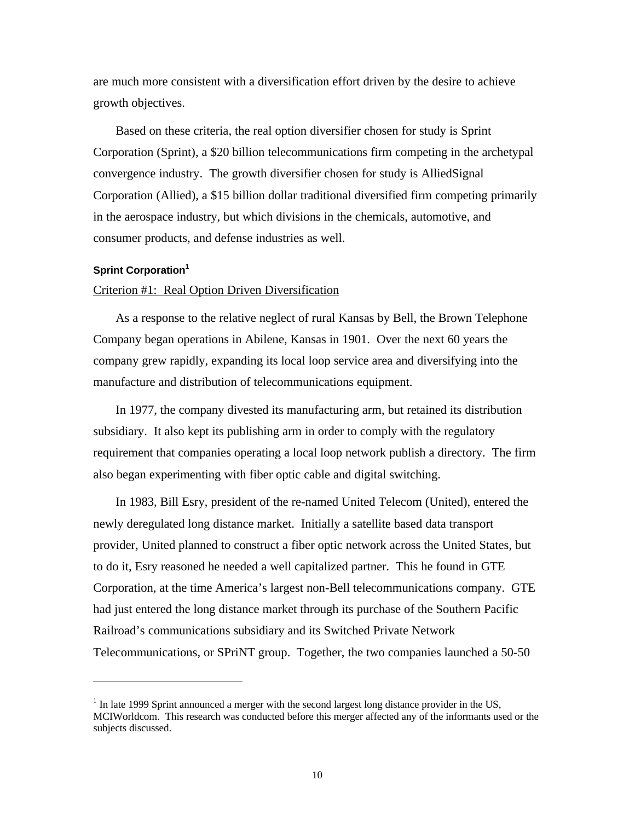are much more consistent with a diversification effort driven by the desire to achieve growth objectives.

Based on these criteria, the real option diversifier chosen for study is Sprint Corporation (Sprint), a \$20 billion telecommunications firm competing in the archetypal convergence industry. The growth diversifier chosen for study is AlliedSignal Corporation (Allied), a \$15 billion dollar traditional diversified firm competing primarily in the aerospace industry, but which divisions in the chemicals, automotive, and consumer products, and defense industries as well.

## **Sprint Corporation<sup>1</sup>**

 $\overline{a}$ 

## Criterion #1: Real Option Driven Diversification

As a response to the relative neglect of rural Kansas by Bell, the Brown Telephone Company began operations in Abilene, Kansas in 1901. Over the next 60 years the company grew rapidly, expanding its local loop service area and diversifying into the manufacture and distribution of telecommunications equipment.

In 1977, the company divested its manufacturing arm, but retained its distribution subsidiary. It also kept its publishing arm in order to comply with the regulatory requirement that companies operating a local loop network publish a directory. The firm also began experimenting with fiber optic cable and digital switching.

In 1983, Bill Esry, president of the re-named United Telecom (United), entered the newly deregulated long distance market. Initially a satellite based data transport provider, United planned to construct a fiber optic network across the United States, but to do it, Esry reasoned he needed a well capitalized partner. This he found in GTE Corporation, at the time America's largest non-Bell telecommunications company. GTE had just entered the long distance market through its purchase of the Southern Pacific Railroad's communications subsidiary and its Switched Private Network Telecommunications, or SPriNT group. Together, the two companies launched a 50-50

 $<sup>1</sup>$  In late 1999 Sprint announced a merger with the second largest long distance provider in the US,</sup> MCIWorldcom. This research was conducted before this merger affected any of the informants used or the subjects discussed.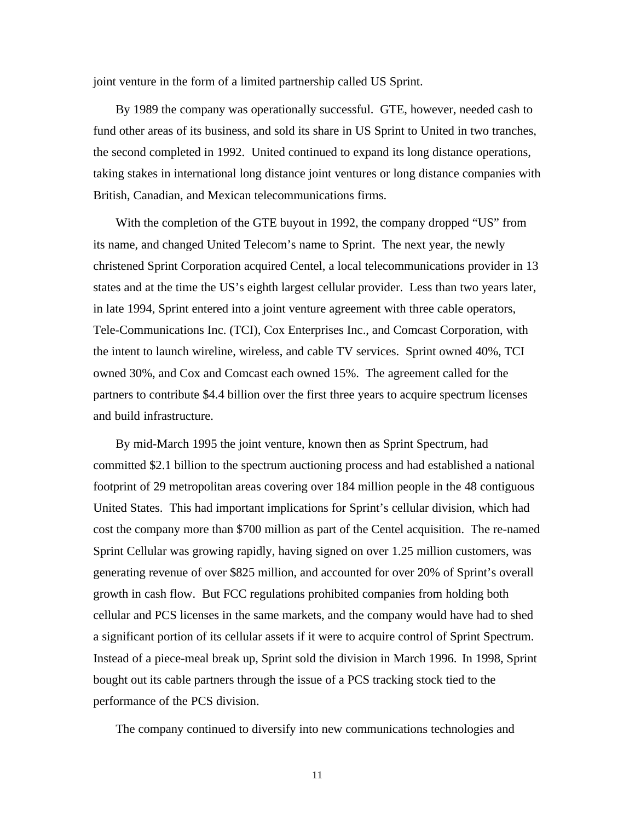joint venture in the form of a limited partnership called US Sprint.

By 1989 the company was operationally successful. GTE, however, needed cash to fund other areas of its business, and sold its share in US Sprint to United in two tranches, the second completed in 1992. United continued to expand its long distance operations, taking stakes in international long distance joint ventures or long distance companies with British, Canadian, and Mexican telecommunications firms.

With the completion of the GTE buyout in 1992, the company dropped "US" from its name, and changed United Telecom's name to Sprint. The next year, the newly christened Sprint Corporation acquired Centel, a local telecommunications provider in 13 states and at the time the US's eighth largest cellular provider. Less than two years later, in late 1994, Sprint entered into a joint venture agreement with three cable operators, Tele-Communications Inc. (TCI), Cox Enterprises Inc., and Comcast Corporation, with the intent to launch wireline, wireless, and cable TV services. Sprint owned 40%, TCI owned 30%, and Cox and Comcast each owned 15%. The agreement called for the partners to contribute \$4.4 billion over the first three years to acquire spectrum licenses and build infrastructure.

By mid-March 1995 the joint venture, known then as Sprint Spectrum, had committed \$2.1 billion to the spectrum auctioning process and had established a national footprint of 29 metropolitan areas covering over 184 million people in the 48 contiguous United States. This had important implications for Sprint's cellular division, which had cost the company more than \$700 million as part of the Centel acquisition. The re-named Sprint Cellular was growing rapidly, having signed on over 1.25 million customers, was generating revenue of over \$825 million, and accounted for over 20% of Sprint's overall growth in cash flow. But FCC regulations prohibited companies from holding both cellular and PCS licenses in the same markets, and the company would have had to shed a significant portion of its cellular assets if it were to acquire control of Sprint Spectrum. Instead of a piece-meal break up, Sprint sold the division in March 1996. In 1998, Sprint bought out its cable partners through the issue of a PCS tracking stock tied to the performance of the PCS division.

The company continued to diversify into new communications technologies and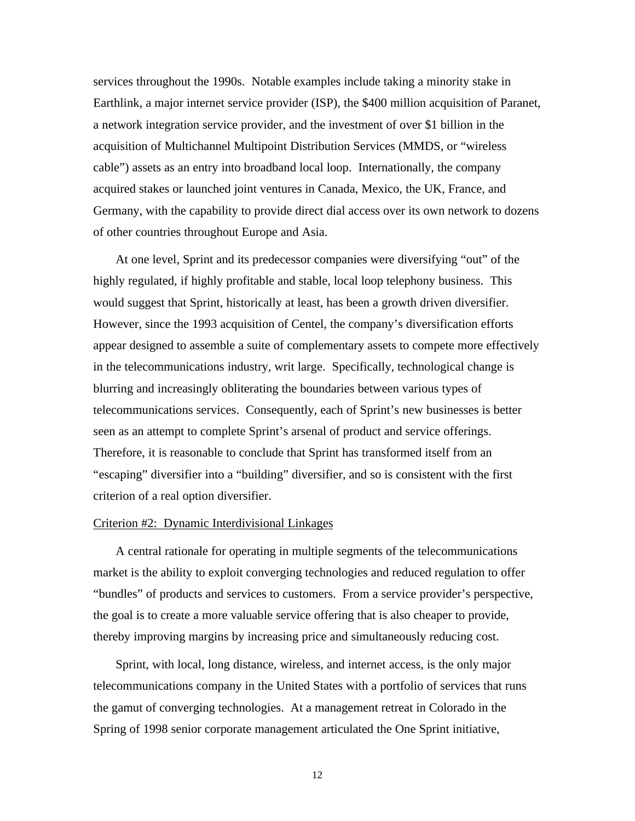services throughout the 1990s. Notable examples include taking a minority stake in Earthlink, a major internet service provider (ISP), the \$400 million acquisition of Paranet, a network integration service provider, and the investment of over \$1 billion in the acquisition of Multichannel Multipoint Distribution Services (MMDS, or "wireless cable") assets as an entry into broadband local loop. Internationally, the company acquired stakes or launched joint ventures in Canada, Mexico, the UK, France, and Germany, with the capability to provide direct dial access over its own network to dozens of other countries throughout Europe and Asia.

At one level, Sprint and its predecessor companies were diversifying "out" of the highly regulated, if highly profitable and stable, local loop telephony business. This would suggest that Sprint, historically at least, has been a growth driven diversifier. However, since the 1993 acquisition of Centel, the company's diversification efforts appear designed to assemble a suite of complementary assets to compete more effectively in the telecommunications industry, writ large. Specifically, technological change is blurring and increasingly obliterating the boundaries between various types of telecommunications services. Consequently, each of Sprint's new businesses is better seen as an attempt to complete Sprint's arsenal of product and service offerings. Therefore, it is reasonable to conclude that Sprint has transformed itself from an "escaping" diversifier into a "building" diversifier, and so is consistent with the first criterion of a real option diversifier.

#### Criterion #2: Dynamic Interdivisional Linkages

A central rationale for operating in multiple segments of the telecommunications market is the ability to exploit converging technologies and reduced regulation to offer "bundles" of products and services to customers. From a service provider's perspective, the goal is to create a more valuable service offering that is also cheaper to provide, thereby improving margins by increasing price and simultaneously reducing cost.

Sprint, with local, long distance, wireless, and internet access, is the only major telecommunications company in the United States with a portfolio of services that runs the gamut of converging technologies. At a management retreat in Colorado in the Spring of 1998 senior corporate management articulated the One Sprint initiative,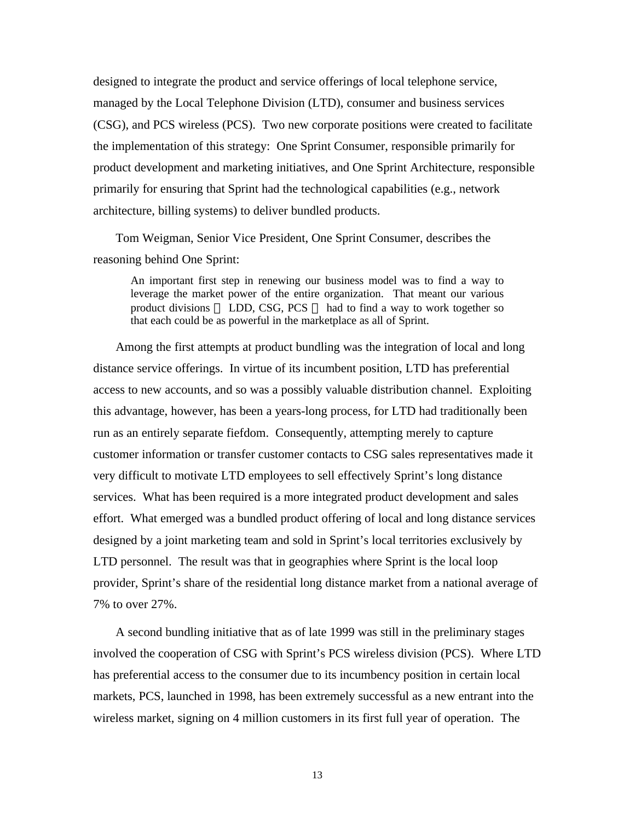designed to integrate the product and service offerings of local telephone service, managed by the Local Telephone Division (LTD), consumer and business services (CSG), and PCS wireless (PCS). Two new corporate positions were created to facilitate the implementation of this strategy: One Sprint Consumer, responsible primarily for product development and marketing initiatives, and One Sprint Architecture, responsible primarily for ensuring that Sprint had the technological capabilities (e.g., network architecture, billing systems) to deliver bundled products.

Tom Weigman, Senior Vice President, One Sprint Consumer, describes the reasoning behind One Sprint:

An important first step in renewing our business model was to find a way to leverage the market power of the entire organization. That meant our various product divisions - LDD, CSG, PCS - had to find a way to work together so that each could be as powerful in the marketplace as all of Sprint.

Among the first attempts at product bundling was the integration of local and long distance service offerings. In virtue of its incumbent position, LTD has preferential access to new accounts, and so was a possibly valuable distribution channel. Exploiting this advantage, however, has been a years-long process, for LTD had traditionally been run as an entirely separate fiefdom. Consequently, attempting merely to capture customer information or transfer customer contacts to CSG sales representatives made it very difficult to motivate LTD employees to sell effectively Sprint's long distance services. What has been required is a more integrated product development and sales effort. What emerged was a bundled product offering of local and long distance services designed by a joint marketing team and sold in Sprint's local territories exclusively by LTD personnel. The result was that in geographies where Sprint is the local loop provider, Sprint's share of the residential long distance market from a national average of 7% to over 27%.

A second bundling initiative that as of late 1999 was still in the preliminary stages involved the cooperation of CSG with Sprint's PCS wireless division (PCS). Where LTD has preferential access to the consumer due to its incumbency position in certain local markets, PCS, launched in 1998, has been extremely successful as a new entrant into the wireless market, signing on 4 million customers in its first full year of operation. The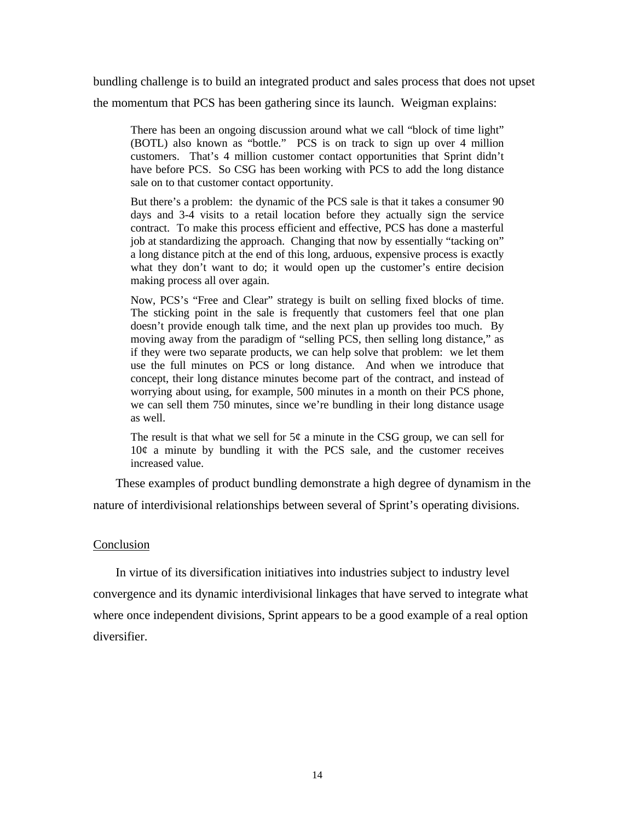bundling challenge is to build an integrated product and sales process that does not upset the momentum that PCS has been gathering since its launch. Weigman explains:

There has been an ongoing discussion around what we call "block of time light" (BOTL) also known as "bottle." PCS is on track to sign up over 4 million customers. That's 4 million customer contact opportunities that Sprint didn't have before PCS. So CSG has been working with PCS to add the long distance sale on to that customer contact opportunity.

But there's a problem: the dynamic of the PCS sale is that it takes a consumer 90 days and 3-4 visits to a retail location before they actually sign the service contract. To make this process efficient and effective, PCS has done a masterful job at standardizing the approach. Changing that now by essentially "tacking on" a long distance pitch at the end of this long, arduous, expensive process is exactly what they don't want to do; it would open up the customer's entire decision making process all over again.

Now, PCS's "Free and Clear" strategy is built on selling fixed blocks of time. The sticking point in the sale is frequently that customers feel that one plan doesn't provide enough talk time, and the next plan up provides too much. By moving away from the paradigm of "selling PCS, then selling long distance," as if they were two separate products, we can help solve that problem: we let them use the full minutes on PCS or long distance. And when we introduce that concept, their long distance minutes become part of the contract, and instead of worrying about using, for example, 500 minutes in a month on their PCS phone, we can sell them 750 minutes, since we're bundling in their long distance usage as well.

The result is that what we sell for  $5¢$  a minute in the CSG group, we can sell for  $10¢$  a minute by bundling it with the PCS sale, and the customer receives increased value.

These examples of product bundling demonstrate a high degree of dynamism in the nature of interdivisional relationships between several of Sprint's operating divisions.

## Conclusion

In virtue of its diversification initiatives into industries subject to industry level convergence and its dynamic interdivisional linkages that have served to integrate what where once independent divisions, Sprint appears to be a good example of a real option diversifier.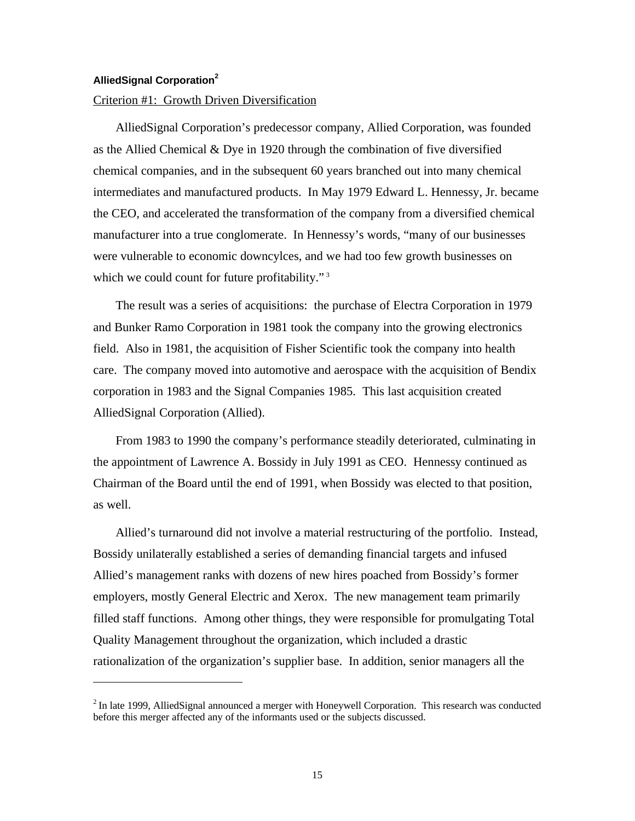## **AlliedSignal Corporation<sup>2</sup>**

 $\overline{a}$ 

## Criterion #1: Growth Driven Diversification

AlliedSignal Corporation's predecessor company, Allied Corporation, was founded as the Allied Chemical  $&$  Dye in 1920 through the combination of five diversified chemical companies, and in the subsequent 60 years branched out into many chemical intermediates and manufactured products. In May 1979 Edward L. Hennessy, Jr. became the CEO, and accelerated the transformation of the company from a diversified chemical manufacturer into a true conglomerate. In Hennessy's words, "many of our businesses were vulnerable to economic downcylces, and we had too few growth businesses on which we could count for future profitability."<sup>3</sup>

The result was a series of acquisitions: the purchase of Electra Corporation in 1979 and Bunker Ramo Corporation in 1981 took the company into the growing electronics field. Also in 1981, the acquisition of Fisher Scientific took the company into health care. The company moved into automotive and aerospace with the acquisition of Bendix corporation in 1983 and the Signal Companies 1985. This last acquisition created AlliedSignal Corporation (Allied).

From 1983 to 1990 the company's performance steadily deteriorated, culminating in the appointment of Lawrence A. Bossidy in July 1991 as CEO. Hennessy continued as Chairman of the Board until the end of 1991, when Bossidy was elected to that position, as well.

Allied's turnaround did not involve a material restructuring of the portfolio. Instead, Bossidy unilaterally established a series of demanding financial targets and infused Allied's management ranks with dozens of new hires poached from Bossidy's former employers, mostly General Electric and Xerox. The new management team primarily filled staff functions. Among other things, they were responsible for promulgating Total Quality Management throughout the organization, which included a drastic rationalization of the organization's supplier base. In addition, senior managers all the

 $2$ In late 1999, AlliedSignal announced a merger with Honeywell Corporation. This research was conducted before this merger affected any of the informants used or the subjects discussed.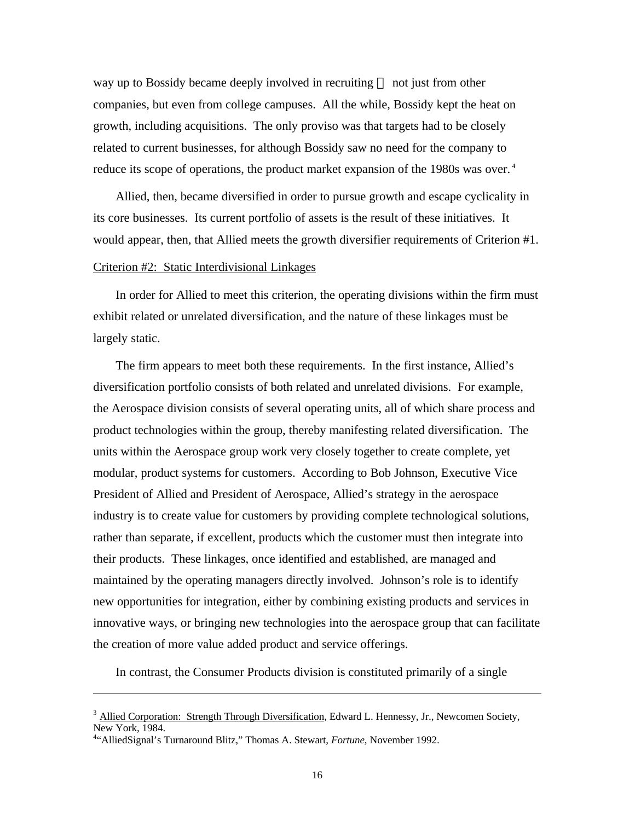way up to Bossidy became deeply involved in recruiting — not just from other companies, but even from college campuses. All the while, Bossidy kept the heat on growth, including acquisitions. The only proviso was that targets had to be closely related to current businesses, for although Bossidy saw no need for the company to reduce its scope of operations, the product market expansion of the 1980s was over.<sup>4</sup>

Allied, then, became diversified in order to pursue growth and escape cyclicality in its core businesses. Its current portfolio of assets is the result of these initiatives. It would appear, then, that Allied meets the growth diversifier requirements of Criterion #1.

## Criterion #2: Static Interdivisional Linkages

In order for Allied to meet this criterion, the operating divisions within the firm must exhibit related or unrelated diversification, and the nature of these linkages must be largely static.

The firm appears to meet both these requirements. In the first instance, Allied's diversification portfolio consists of both related and unrelated divisions. For example, the Aerospace division consists of several operating units, all of which share process and product technologies within the group, thereby manifesting related diversification. The units within the Aerospace group work very closely together to create complete, yet modular, product systems for customers. According to Bob Johnson, Executive Vice President of Allied and President of Aerospace, Allied's strategy in the aerospace industry is to create value for customers by providing complete technological solutions, rather than separate, if excellent, products which the customer must then integrate into their products. These linkages, once identified and established, are managed and maintained by the operating managers directly involved. Johnson's role is to identify new opportunities for integration, either by combining existing products and services in innovative ways, or bringing new technologies into the aerospace group that can facilitate the creation of more value added product and service offerings.

In contrast, the Consumer Products division is constituted primarily of a single

 $\overline{a}$ 

 $3$  Allied Corporation: Strength Through Diversification, Edward L. Hennessy, Jr., Newcomen Society, New York, 1984.

<sup>4</sup> "AlliedSignal's Turnaround Blitz," Thomas A. Stewart, *Fortune*, November 1992.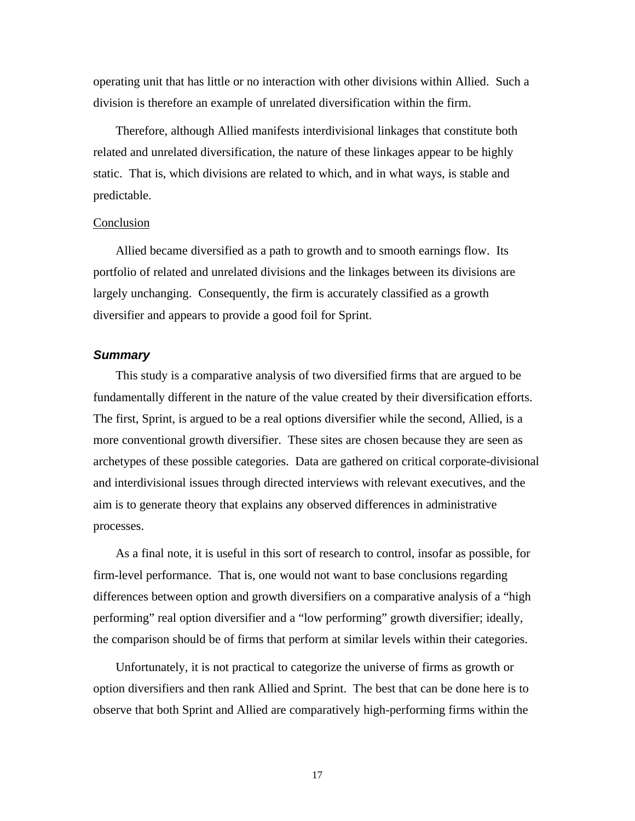operating unit that has little or no interaction with other divisions within Allied. Such a division is therefore an example of unrelated diversification within the firm.

Therefore, although Allied manifests interdivisional linkages that constitute both related and unrelated diversification, the nature of these linkages appear to be highly static. That is, which divisions are related to which, and in what ways, is stable and predictable.

## Conclusion

Allied became diversified as a path to growth and to smooth earnings flow. Its portfolio of related and unrelated divisions and the linkages between its divisions are largely unchanging. Consequently, the firm is accurately classified as a growth diversifier and appears to provide a good foil for Sprint.

## *Summary*

This study is a comparative analysis of two diversified firms that are argued to be fundamentally different in the nature of the value created by their diversification efforts. The first, Sprint, is argued to be a real options diversifier while the second, Allied, is a more conventional growth diversifier. These sites are chosen because they are seen as archetypes of these possible categories. Data are gathered on critical corporate-divisional and interdivisional issues through directed interviews with relevant executives, and the aim is to generate theory that explains any observed differences in administrative processes.

As a final note, it is useful in this sort of research to control, insofar as possible, for firm-level performance. That is, one would not want to base conclusions regarding differences between option and growth diversifiers on a comparative analysis of a "high performing" real option diversifier and a "low performing" growth diversifier; ideally, the comparison should be of firms that perform at similar levels within their categories.

Unfortunately, it is not practical to categorize the universe of firms as growth or option diversifiers and then rank Allied and Sprint. The best that can be done here is to observe that both Sprint and Allied are comparatively high-performing firms within the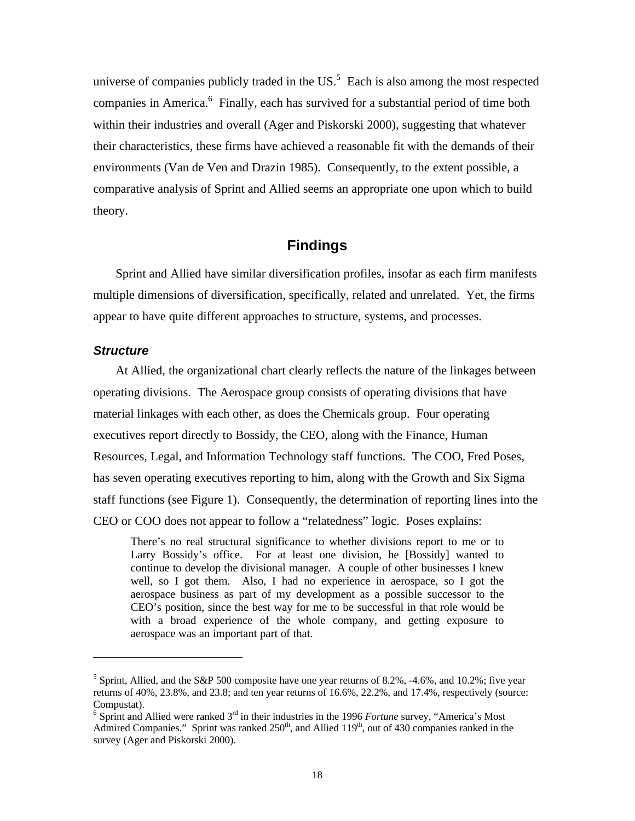universe of companies publicly traded in the  $US$ <sup>5</sup>. Each is also among the most respected companies in America.<sup>6</sup> Finally, each has survived for a substantial period of time both within their industries and overall (Ager and Piskorski 2000), suggesting that whatever their characteristics, these firms have achieved a reasonable fit with the demands of their environments (Van de Ven and Drazin 1985). Consequently, to the extent possible, a comparative analysis of Sprint and Allied seems an appropriate one upon which to build theory.

## **Findings**

Sprint and Allied have similar diversification profiles, insofar as each firm manifests multiple dimensions of diversification, specifically, related and unrelated. Yet, the firms appear to have quite different approaches to structure, systems, and processes.

## *Structure*

-

At Allied, the organizational chart clearly reflects the nature of the linkages between operating divisions. The Aerospace group consists of operating divisions that have material linkages with each other, as does the Chemicals group. Four operating executives report directly to Bossidy, the CEO, along with the Finance, Human Resources, Legal, and Information Technology staff functions. The COO, Fred Poses, has seven operating executives reporting to him, along with the Growth and Six Sigma staff functions (see Figure 1). Consequently, the determination of reporting lines into the CEO or COO does not appear to follow a "relatedness" logic. Poses explains:

There's no real structural significance to whether divisions report to me or to Larry Bossidy's office. For at least one division, he [Bossidy] wanted to continue to develop the divisional manager. A couple of other businesses I knew well, so I got them. Also, I had no experience in aerospace, so I got the aerospace business as part of my development as a possible successor to the CEO's position, since the best way for me to be successful in that role would be with a broad experience of the whole company, and getting exposure to aerospace was an important part of that.

<sup>&</sup>lt;sup>5</sup> Sprint, Allied, and the S&P 500 composite have one year returns of 8.2%, -4.6%, and 10.2%; five year returns of 40%, 23.8%, and 23.8; and ten year returns of 16.6%, 22.2%, and 17.4%, respectively (source: Compustat).

<sup>&</sup>lt;sup>6</sup> Sprint and Allied were ranked 3<sup>rd</sup> in their industries in the 1996 *Fortune* survey, "America's Most Admired Companies." Sprint was ranked  $250<sup>th</sup>$ , and Allied  $119<sup>th</sup>$ , out of 430 companies ranked in the survey (Ager and Piskorski 2000).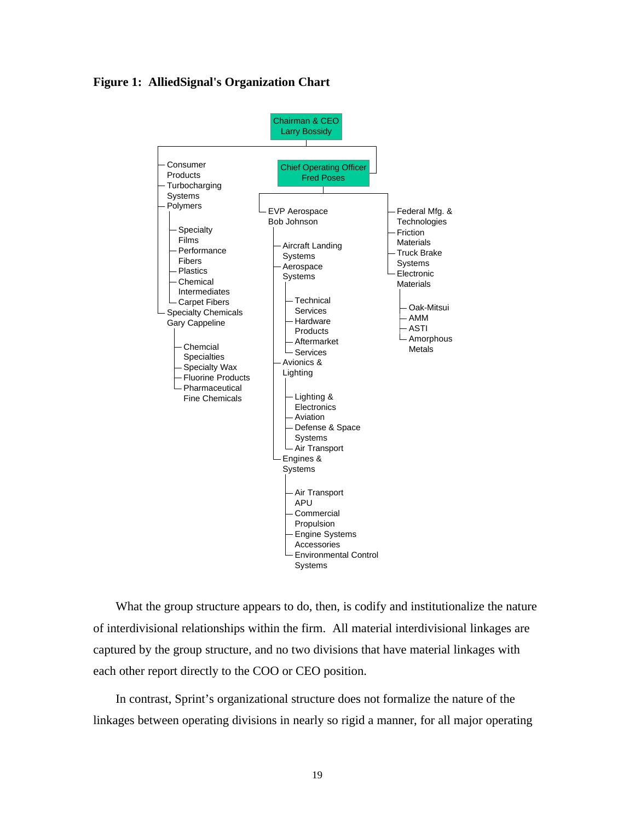**Figure 1: AlliedSignal's Organization Chart**



What the group structure appears to do, then, is codify and institutionalize the nature of interdivisional relationships within the firm. All material interdivisional linkages are captured by the group structure, and no two divisions that have material linkages with each other report directly to the COO or CEO position.

In contrast, Sprint's organizational structure does not formalize the nature of the linkages between operating divisions in nearly so rigid a manner, for all major operating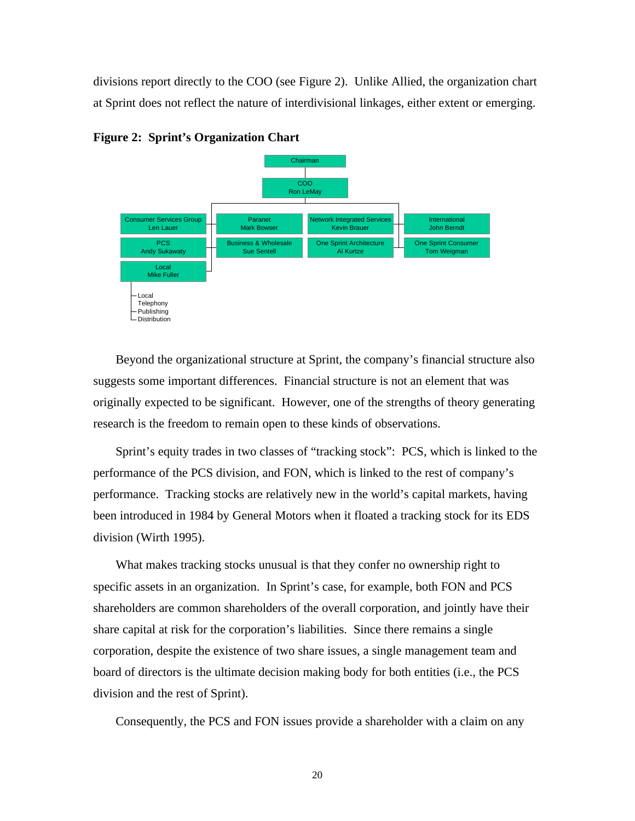divisions report directly to the COO (see Figure 2). Unlike Allied, the organization chart at Sprint does not reflect the nature of interdivisional linkages, either extent or emerging.



**Figure 2: Sprint's Organization Chart**

Beyond the organizational structure at Sprint, the company's financial structure also suggests some important differences. Financial structure is not an element that was originally expected to be significant. However, one of the strengths of theory generating research is the freedom to remain open to these kinds of observations.

Sprint's equity trades in two classes of "tracking stock": PCS, which is linked to the performance of the PCS division, and FON, which is linked to the rest of company's performance. Tracking stocks are relatively new in the world's capital markets, having been introduced in 1984 by General Motors when it floated a tracking stock for its EDS division (Wirth 1995).

What makes tracking stocks unusual is that they confer no ownership right to specific assets in an organization. In Sprint's case, for example, both FON and PCS shareholders are common shareholders of the overall corporation, and jointly have their share capital at risk for the corporation's liabilities. Since there remains a single corporation, despite the existence of two share issues, a single management team and board of directors is the ultimate decision making body for both entities (i.e., the PCS division and the rest of Sprint).

Consequently, the PCS and FON issues provide a shareholder with a claim on any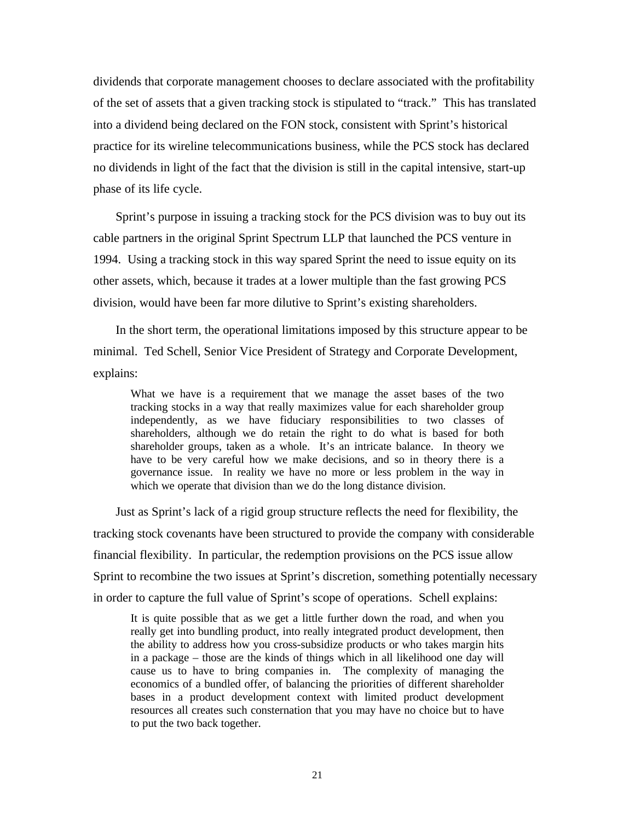dividends that corporate management chooses to declare associated with the profitability of the set of assets that a given tracking stock is stipulated to "track." This has translated into a dividend being declared on the FON stock, consistent with Sprint's historical practice for its wireline telecommunications business, while the PCS stock has declared no dividends in light of the fact that the division is still in the capital intensive, start-up phase of its life cycle.

Sprint's purpose in issuing a tracking stock for the PCS division was to buy out its cable partners in the original Sprint Spectrum LLP that launched the PCS venture in 1994. Using a tracking stock in this way spared Sprint the need to issue equity on its other assets, which, because it trades at a lower multiple than the fast growing PCS division, would have been far more dilutive to Sprint's existing shareholders.

In the short term, the operational limitations imposed by this structure appear to be minimal. Ted Schell, Senior Vice President of Strategy and Corporate Development, explains:

What we have is a requirement that we manage the asset bases of the two tracking stocks in a way that really maximizes value for each shareholder group independently, as we have fiduciary responsibilities to two classes of shareholders, although we do retain the right to do what is based for both shareholder groups, taken as a whole. It's an intricate balance. In theory we have to be very careful how we make decisions, and so in theory there is a governance issue. In reality we have no more or less problem in the way in which we operate that division than we do the long distance division.

Just as Sprint's lack of a rigid group structure reflects the need for flexibility, the tracking stock covenants have been structured to provide the company with considerable financial flexibility. In particular, the redemption provisions on the PCS issue allow Sprint to recombine the two issues at Sprint's discretion, something potentially necessary in order to capture the full value of Sprint's scope of operations. Schell explains:

It is quite possible that as we get a little further down the road, and when you really get into bundling product, into really integrated product development, then the ability to address how you cross-subsidize products or who takes margin hits in a package – those are the kinds of things which in all likelihood one day will cause us to have to bring companies in. The complexity of managing the economics of a bundled offer, of balancing the priorities of different shareholder bases in a product development context with limited product development resources all creates such consternation that you may have no choice but to have to put the two back together.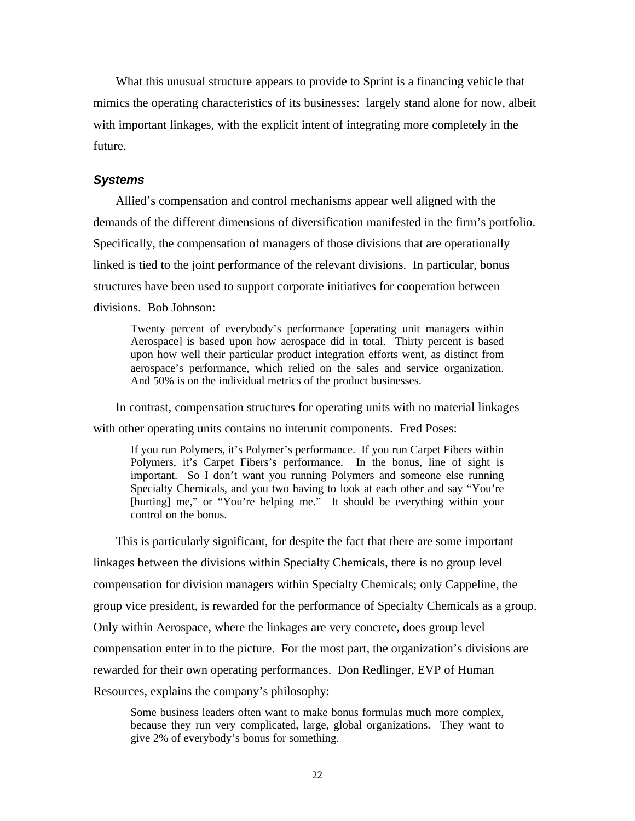What this unusual structure appears to provide to Sprint is a financing vehicle that mimics the operating characteristics of its businesses: largely stand alone for now, albeit with important linkages, with the explicit intent of integrating more completely in the future.

## *Systems*

Allied's compensation and control mechanisms appear well aligned with the demands of the different dimensions of diversification manifested in the firm's portfolio. Specifically, the compensation of managers of those divisions that are operationally linked is tied to the joint performance of the relevant divisions. In particular, bonus structures have been used to support corporate initiatives for cooperation between divisions. Bob Johnson:

Twenty percent of everybody's performance [operating unit managers within Aerospace] is based upon how aerospace did in total. Thirty percent is based upon how well their particular product integration efforts went, as distinct from aerospace's performance, which relied on the sales and service organization. And 50% is on the individual metrics of the product businesses.

In contrast, compensation structures for operating units with no material linkages with other operating units contains no interunit components. Fred Poses:

If you run Polymers, it's Polymer's performance. If you run Carpet Fibers within Polymers, it's Carpet Fibers's performance. In the bonus, line of sight is important. So I don't want you running Polymers and someone else running Specialty Chemicals, and you two having to look at each other and say "You're [hurting] me," or "You're helping me." It should be everything within your control on the bonus.

This is particularly significant, for despite the fact that there are some important linkages between the divisions within Specialty Chemicals, there is no group level compensation for division managers within Specialty Chemicals; only Cappeline, the group vice president, is rewarded for the performance of Specialty Chemicals as a group. Only within Aerospace, where the linkages are very concrete, does group level compensation enter in to the picture. For the most part, the organization's divisions are rewarded for their own operating performances. Don Redlinger, EVP of Human Resources, explains the company's philosophy:

Some business leaders often want to make bonus formulas much more complex, because they run very complicated, large, global organizations. They want to give 2% of everybody's bonus for something.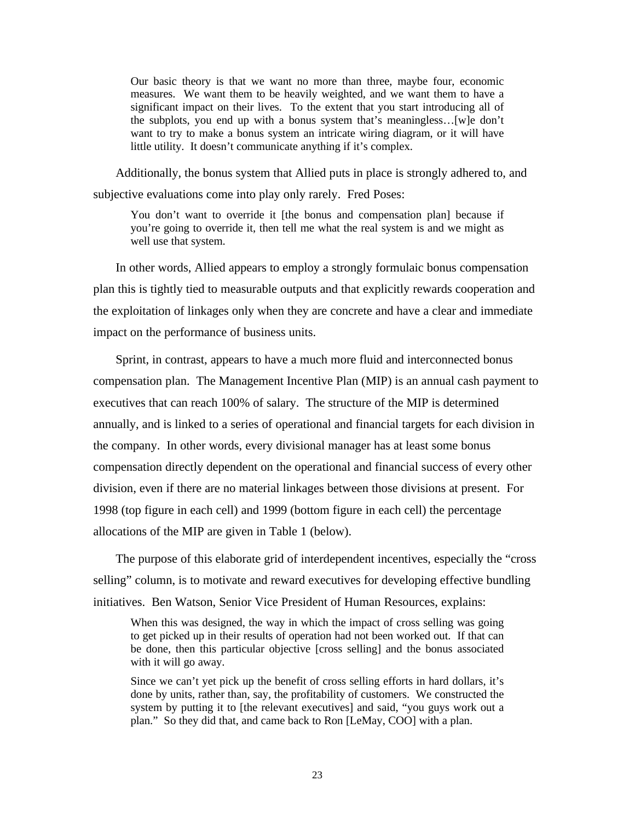Our basic theory is that we want no more than three, maybe four, economic measures. We want them to be heavily weighted, and we want them to have a significant impact on their lives. To the extent that you start introducing all of the subplots, you end up with a bonus system that's meaningless…[w]e don't want to try to make a bonus system an intricate wiring diagram, or it will have little utility. It doesn't communicate anything if it's complex.

Additionally, the bonus system that Allied puts in place is strongly adhered to, and subjective evaluations come into play only rarely. Fred Poses:

You don't want to override it [the bonus and compensation plan] because if you're going to override it, then tell me what the real system is and we might as well use that system.

In other words, Allied appears to employ a strongly formulaic bonus compensation plan this is tightly tied to measurable outputs and that explicitly rewards cooperation and the exploitation of linkages only when they are concrete and have a clear and immediate impact on the performance of business units.

Sprint, in contrast, appears to have a much more fluid and interconnected bonus compensation plan. The Management Incentive Plan (MIP) is an annual cash payment to executives that can reach 100% of salary. The structure of the MIP is determined annually, and is linked to a series of operational and financial targets for each division in the company. In other words, every divisional manager has at least some bonus compensation directly dependent on the operational and financial success of every other division, even if there are no material linkages between those divisions at present. For 1998 (top figure in each cell) and 1999 (bottom figure in each cell) the percentage allocations of the MIP are given in Table 1 (below).

The purpose of this elaborate grid of interdependent incentives, especially the "cross selling" column, is to motivate and reward executives for developing effective bundling initiatives. Ben Watson, Senior Vice President of Human Resources, explains:

When this was designed, the way in which the impact of cross selling was going to get picked up in their results of operation had not been worked out. If that can be done, then this particular objective [cross selling] and the bonus associated with it will go away.

Since we can't yet pick up the benefit of cross selling efforts in hard dollars, it's done by units, rather than, say, the profitability of customers. We constructed the system by putting it to [the relevant executives] and said, "you guys work out a plan." So they did that, and came back to Ron [LeMay, COO] with a plan.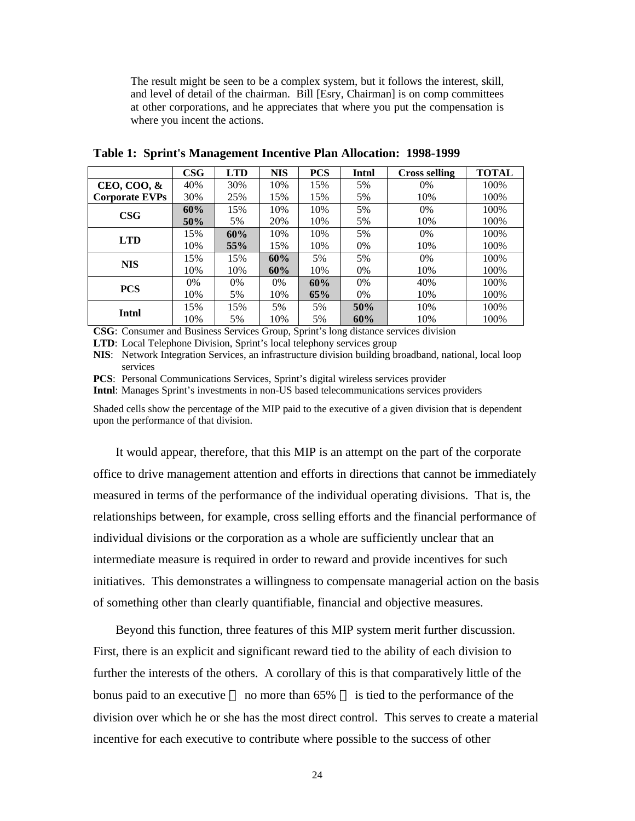The result might be seen to be a complex system, but it follows the interest, skill, and level of detail of the chairman. Bill [Esry, Chairman] is on comp committees at other corporations, and he appreciates that where you put the compensation is where you incent the actions.

|                       | <b>CSG</b> | <b>LTD</b> | <b>NIS</b> | <b>PCS</b> | Intnl | <b>Cross selling</b> | <b>TOTAL</b> |
|-----------------------|------------|------------|------------|------------|-------|----------------------|--------------|
| CEO, COO, &           | 40%        | 30%        | 10%        | 15%        | 5%    | $0\%$                | 100%         |
| <b>Corporate EVPs</b> | 30%        | 25%        | 15%        | 15%        | 5%    | 10%                  | 100%         |
| $\bf{CSG}$            | 60%        | 15%        | 10%        | 10%        | 5%    | $0\%$                | 100%         |
|                       | 50%        | 5%         | 20%        | 10%        | 5%    | 10%                  | 100%         |
| <b>LTD</b>            | 15%        | 60%        | 10%        | 10%        | 5%    | $0\%$                | 100%         |
|                       | 10%        | 55%        | 15%        | 10%        | $0\%$ | 10%                  | 100%         |
| <b>NIS</b>            | 15%        | 15%        | 60%        | 5%         | 5%    | $0\%$                | 100%         |
|                       | 10%        | 10%        | 60%        | 10%        | $0\%$ | 10%                  | 100%         |
| <b>PCS</b>            | 0%         | $0\%$      | $0\%$      | 60%        | 0%    | 40%                  | 100%         |
|                       | 10%        | 5%         | 10%        | 65%        | $0\%$ | 10%                  | 100%         |
| Intnl                 | 15%        | 15%        | 5%         | 5%         | 50%   | 10%                  | 100%         |
|                       | 10%        | 5%         | 10%        | 5%         | 60%   | 10%                  | 100%         |

**Table 1: Sprint's Management Incentive Plan Allocation: 1998-1999**

**CSG**: Consumer and Business Services Group, Sprint's long distance services division

**LTD**: Local Telephone Division, Sprint's local telephony services group

**NIS**: Network Integration Services, an infrastructure division building broadband, national, local loop services

**PCS**: Personal Communications Services, Sprint's digital wireless services provider

**Intnl**: Manages Sprint's investments in non-US based telecommunications services providers

Shaded cells show the percentage of the MIP paid to the executive of a given division that is dependent upon the performance of that division.

It would appear, therefore, that this MIP is an attempt on the part of the corporate office to drive management attention and efforts in directions that cannot be immediately measured in terms of the performance of the individual operating divisions. That is, the relationships between, for example, cross selling efforts and the financial performance of individual divisions or the corporation as a whole are sufficiently unclear that an intermediate measure is required in order to reward and provide incentives for such initiatives. This demonstrates a willingness to compensate managerial action on the basis of something other than clearly quantifiable, financial and objective measures.

Beyond this function, three features of this MIP system merit further discussion. First, there is an explicit and significant reward tied to the ability of each division to further the interests of the others. A corollary of this is that comparatively little of the bonus paid to an executive — no more than  $65\%$  — is tied to the performance of the division over which he or she has the most direct control. This serves to create a material incentive for each executive to contribute where possible to the success of other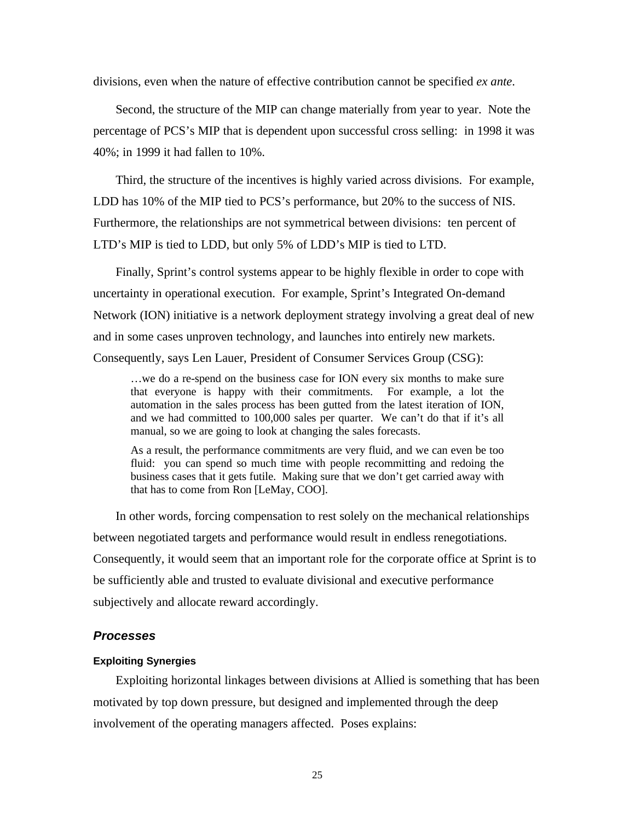divisions, even when the nature of effective contribution cannot be specified *ex ante*.

Second, the structure of the MIP can change materially from year to year. Note the percentage of PCS's MIP that is dependent upon successful cross selling: in 1998 it was 40%; in 1999 it had fallen to 10%.

Third, the structure of the incentives is highly varied across divisions. For example, LDD has 10% of the MIP tied to PCS's performance, but 20% to the success of NIS. Furthermore, the relationships are not symmetrical between divisions: ten percent of LTD's MIP is tied to LDD, but only 5% of LDD's MIP is tied to LTD.

Finally, Sprint's control systems appear to be highly flexible in order to cope with uncertainty in operational execution. For example, Sprint's Integrated On-demand Network (ION) initiative is a network deployment strategy involving a great deal of new and in some cases unproven technology, and launches into entirely new markets. Consequently, says Len Lauer, President of Consumer Services Group (CSG):

…we do a re-spend on the business case for ION every six months to make sure that everyone is happy with their commitments. For example, a lot the automation in the sales process has been gutted from the latest iteration of ION, and we had committed to 100,000 sales per quarter. We can't do that if it's all manual, so we are going to look at changing the sales forecasts.

As a result, the performance commitments are very fluid, and we can even be too fluid: you can spend so much time with people recommitting and redoing the business cases that it gets futile. Making sure that we don't get carried away with that has to come from Ron [LeMay, COO].

In other words, forcing compensation to rest solely on the mechanical relationships between negotiated targets and performance would result in endless renegotiations. Consequently, it would seem that an important role for the corporate office at Sprint is to be sufficiently able and trusted to evaluate divisional and executive performance subjectively and allocate reward accordingly.

## *Processes*

## **Exploiting Synergies**

Exploiting horizontal linkages between divisions at Allied is something that has been motivated by top down pressure, but designed and implemented through the deep involvement of the operating managers affected. Poses explains: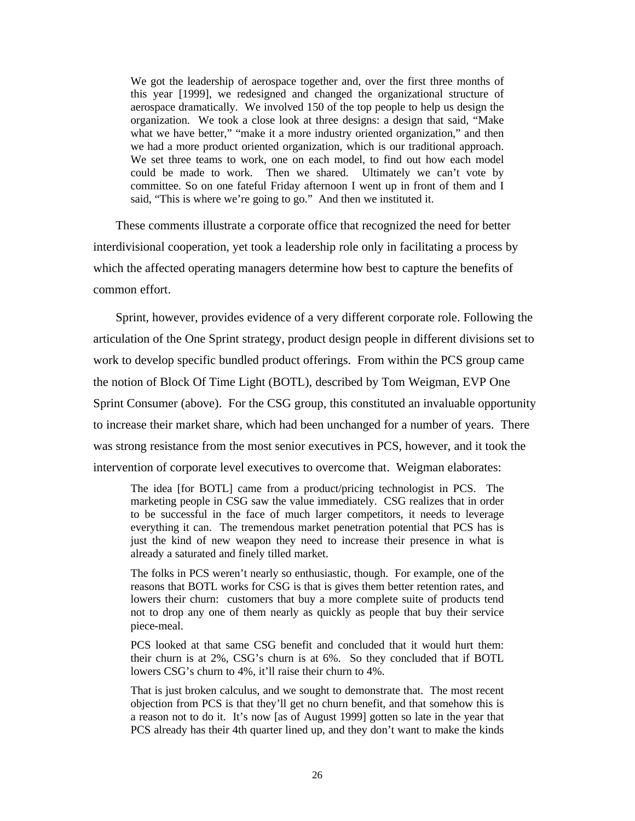We got the leadership of aerospace together and, over the first three months of this year [1999], we redesigned and changed the organizational structure of aerospace dramatically. We involved 150 of the top people to help us design the organization. We took a close look at three designs: a design that said, "Make what we have better," "make it a more industry oriented organization," and then we had a more product oriented organization, which is our traditional approach. We set three teams to work, one on each model, to find out how each model could be made to work. Then we shared. Ultimately we can't vote by committee. So on one fateful Friday afternoon I went up in front of them and I said, "This is where we're going to go." And then we instituted it.

These comments illustrate a corporate office that recognized the need for better interdivisional cooperation, yet took a leadership role only in facilitating a process by which the affected operating managers determine how best to capture the benefits of common effort.

Sprint, however, provides evidence of a very different corporate role. Following the articulation of the One Sprint strategy, product design people in different divisions set to work to develop specific bundled product offerings. From within the PCS group came the notion of Block Of Time Light (BOTL), described by Tom Weigman, EVP One Sprint Consumer (above). For the CSG group, this constituted an invaluable opportunity to increase their market share, which had been unchanged for a number of years. There was strong resistance from the most senior executives in PCS, however, and it took the intervention of corporate level executives to overcome that. Weigman elaborates:

The idea [for BOTL] came from a product/pricing technologist in PCS. The marketing people in CSG saw the value immediately. CSG realizes that in order to be successful in the face of much larger competitors, it needs to leverage everything it can. The tremendous market penetration potential that PCS has is just the kind of new weapon they need to increase their presence in what is already a saturated and finely tilled market.

The folks in PCS weren't nearly so enthusiastic, though. For example, one of the reasons that BOTL works for CSG is that is gives them better retention rates, and lowers their churn: customers that buy a more complete suite of products tend not to drop any one of them nearly as quickly as people that buy their service piece-meal.

PCS looked at that same CSG benefit and concluded that it would hurt them: their churn is at 2%, CSG's churn is at 6%. So they concluded that if BOTL lowers CSG's churn to 4%, it'll raise their churn to 4%.

That is just broken calculus, and we sought to demonstrate that. The most recent objection from PCS is that they'll get no churn benefit, and that somehow this is a reason not to do it. It's now [as of August 1999] gotten so late in the year that PCS already has their 4th quarter lined up, and they don't want to make the kinds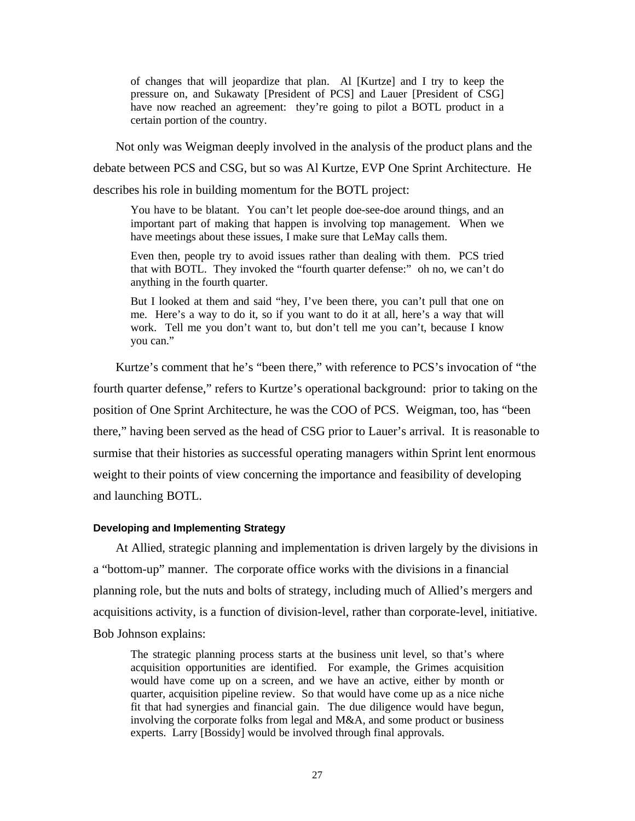of changes that will jeopardize that plan. Al [Kurtze] and I try to keep the pressure on, and Sukawaty [President of PCS] and Lauer [President of CSG] have now reached an agreement: they're going to pilot a BOTL product in a certain portion of the country.

Not only was Weigman deeply involved in the analysis of the product plans and the debate between PCS and CSG, but so was Al Kurtze, EVP One Sprint Architecture. He describes his role in building momentum for the BOTL project:

You have to be blatant. You can't let people doe-see-doe around things, and an important part of making that happen is involving top management. When we have meetings about these issues, I make sure that LeMay calls them.

Even then, people try to avoid issues rather than dealing with them. PCS tried that with BOTL. They invoked the "fourth quarter defense:" oh no, we can't do anything in the fourth quarter.

But I looked at them and said "hey, I've been there, you can't pull that one on me. Here's a way to do it, so if you want to do it at all, here's a way that will work. Tell me you don't want to, but don't tell me you can't, because I know you can."

Kurtze's comment that he's "been there," with reference to PCS's invocation of "the fourth quarter defense," refers to Kurtze's operational background: prior to taking on the position of One Sprint Architecture, he was the COO of PCS. Weigman, too, has "been there," having been served as the head of CSG prior to Lauer's arrival. It is reasonable to surmise that their histories as successful operating managers within Sprint lent enormous weight to their points of view concerning the importance and feasibility of developing and launching BOTL.

## **Developing and Implementing Strategy**

At Allied, strategic planning and implementation is driven largely by the divisions in a "bottom-up" manner. The corporate office works with the divisions in a financial planning role, but the nuts and bolts of strategy, including much of Allied's mergers and acquisitions activity, is a function of division-level, rather than corporate-level, initiative. Bob Johnson explains:

The strategic planning process starts at the business unit level, so that's where acquisition opportunities are identified. For example, the Grimes acquisition would have come up on a screen, and we have an active, either by month or quarter, acquisition pipeline review. So that would have come up as a nice niche fit that had synergies and financial gain. The due diligence would have begun, involving the corporate folks from legal and M&A, and some product or business experts. Larry [Bossidy] would be involved through final approvals.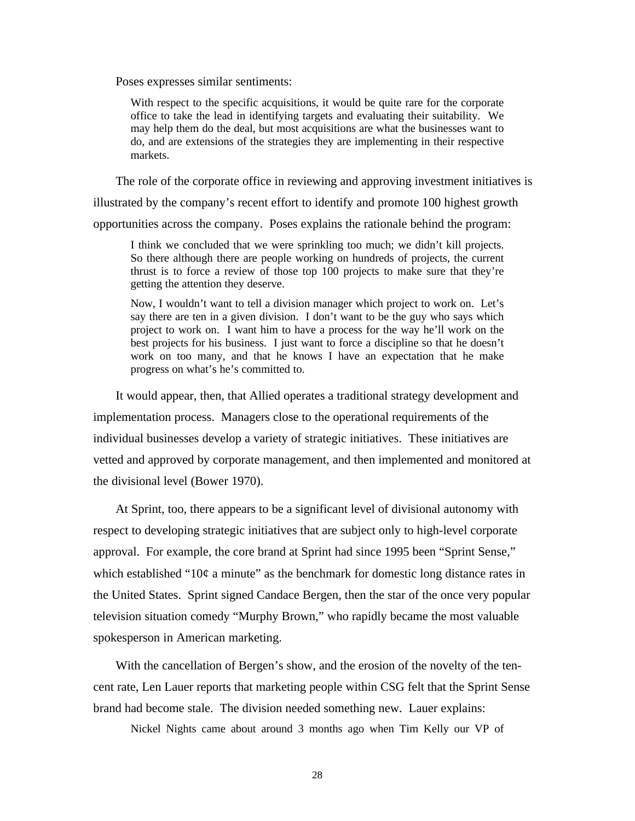Poses expresses similar sentiments:

With respect to the specific acquisitions, it would be quite rare for the corporate office to take the lead in identifying targets and evaluating their suitability. We may help them do the deal, but most acquisitions are what the businesses want to do, and are extensions of the strategies they are implementing in their respective markets.

The role of the corporate office in reviewing and approving investment initiatives is

illustrated by the company's recent effort to identify and promote 100 highest growth opportunities across the company. Poses explains the rationale behind the program:

I think we concluded that we were sprinkling too much; we didn't kill projects. So there although there are people working on hundreds of projects, the current thrust is to force a review of those top 100 projects to make sure that they're getting the attention they deserve.

Now, I wouldn't want to tell a division manager which project to work on. Let's say there are ten in a given division. I don't want to be the guy who says which project to work on. I want him to have a process for the way he'll work on the best projects for his business. I just want to force a discipline so that he doesn't work on too many, and that he knows I have an expectation that he make progress on what's he's committed to.

It would appear, then, that Allied operates a traditional strategy development and implementation process. Managers close to the operational requirements of the individual businesses develop a variety of strategic initiatives. These initiatives are vetted and approved by corporate management, and then implemented and monitored at the divisional level (Bower 1970).

At Sprint, too, there appears to be a significant level of divisional autonomy with respect to developing strategic initiatives that are subject only to high-level corporate approval. For example, the core brand at Sprint had since 1995 been "Sprint Sense," which established "10 $\varphi$  a minute" as the benchmark for domestic long distance rates in the United States. Sprint signed Candace Bergen, then the star of the once very popular television situation comedy "Murphy Brown," who rapidly became the most valuable spokesperson in American marketing.

With the cancellation of Bergen's show, and the erosion of the novelty of the tencent rate, Len Lauer reports that marketing people within CSG felt that the Sprint Sense brand had become stale. The division needed something new. Lauer explains:

Nickel Nights came about around 3 months ago when Tim Kelly our VP of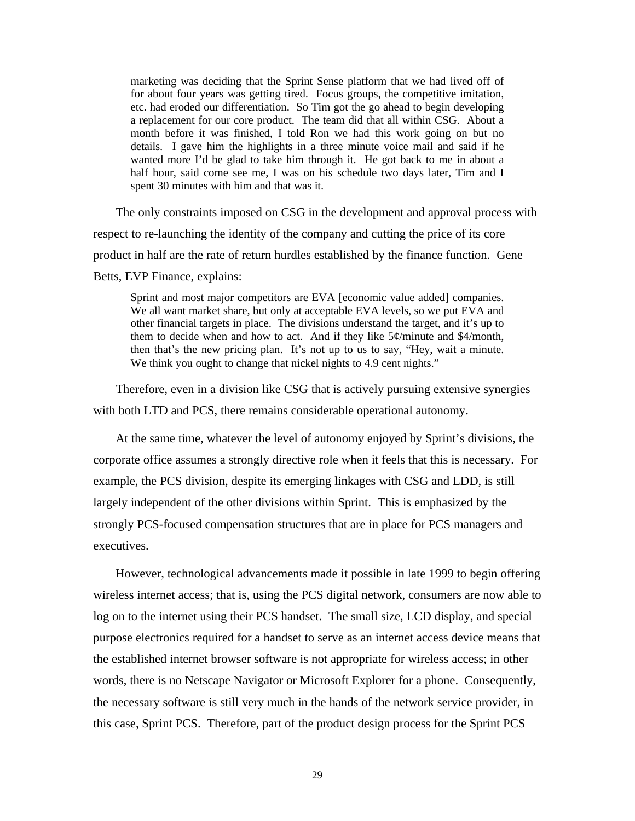marketing was deciding that the Sprint Sense platform that we had lived off of for about four years was getting tired. Focus groups, the competitive imitation, etc. had eroded our differentiation. So Tim got the go ahead to begin developing a replacement for our core product. The team did that all within CSG. About a month before it was finished, I told Ron we had this work going on but no details. I gave him the highlights in a three minute voice mail and said if he wanted more I'd be glad to take him through it. He got back to me in about a half hour, said come see me, I was on his schedule two days later, Tim and I spent 30 minutes with him and that was it.

The only constraints imposed on CSG in the development and approval process with respect to re-launching the identity of the company and cutting the price of its core product in half are the rate of return hurdles established by the finance function. Gene Betts, EVP Finance, explains:

Sprint and most major competitors are EVA [economic value added] companies. We all want market share, but only at acceptable EVA levels, so we put EVA and other financial targets in place. The divisions understand the target, and it's up to them to decide when and how to act. And if they like  $5¢$ /minute and \$4/month, then that's the new pricing plan. It's not up to us to say, "Hey, wait a minute. We think you ought to change that nickel nights to 4.9 cent nights."

Therefore, even in a division like CSG that is actively pursuing extensive synergies with both LTD and PCS, there remains considerable operational autonomy.

At the same time, whatever the level of autonomy enjoyed by Sprint's divisions, the corporate office assumes a strongly directive role when it feels that this is necessary. For example, the PCS division, despite its emerging linkages with CSG and LDD, is still largely independent of the other divisions within Sprint. This is emphasized by the strongly PCS-focused compensation structures that are in place for PCS managers and executives.

However, technological advancements made it possible in late 1999 to begin offering wireless internet access; that is, using the PCS digital network, consumers are now able to log on to the internet using their PCS handset. The small size, LCD display, and special purpose electronics required for a handset to serve as an internet access device means that the established internet browser software is not appropriate for wireless access; in other words, there is no Netscape Navigator or Microsoft Explorer for a phone. Consequently, the necessary software is still very much in the hands of the network service provider, in this case, Sprint PCS. Therefore, part of the product design process for the Sprint PCS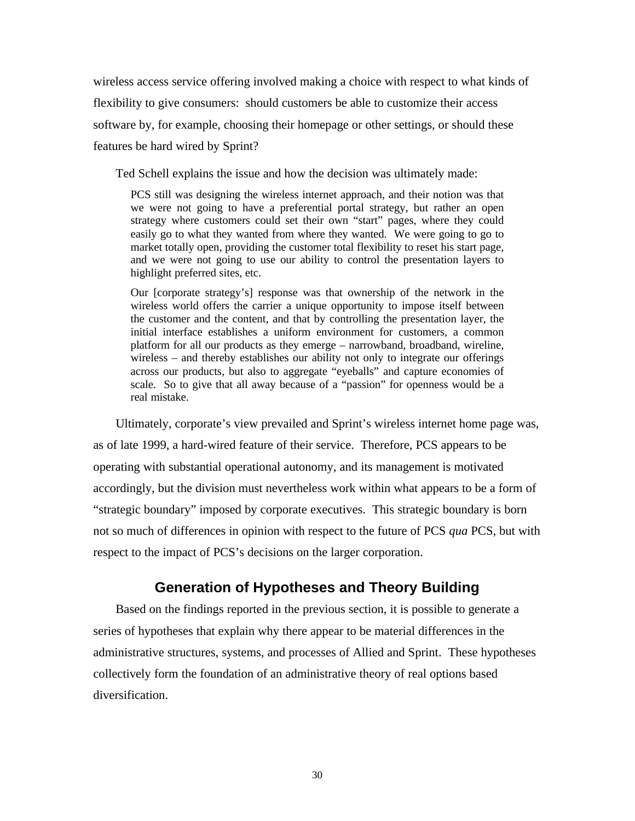wireless access service offering involved making a choice with respect to what kinds of flexibility to give consumers: should customers be able to customize their access software by, for example, choosing their homepage or other settings, or should these features be hard wired by Sprint?

Ted Schell explains the issue and how the decision was ultimately made:

PCS still was designing the wireless internet approach, and their notion was that we were not going to have a preferential portal strategy, but rather an open strategy where customers could set their own "start" pages, where they could easily go to what they wanted from where they wanted. We were going to go to market totally open, providing the customer total flexibility to reset his start page, and we were not going to use our ability to control the presentation layers to highlight preferred sites, etc.

Our [corporate strategy's] response was that ownership of the network in the wireless world offers the carrier a unique opportunity to impose itself between the customer and the content, and that by controlling the presentation layer, the initial interface establishes a uniform environment for customers, a common platform for all our products as they emerge – narrowband, broadband, wireline, wireless – and thereby establishes our ability not only to integrate our offerings across our products, but also to aggregate "eyeballs" and capture economies of scale. So to give that all away because of a "passion" for openness would be a real mistake.

Ultimately, corporate's view prevailed and Sprint's wireless internet home page was, as of late 1999, a hard-wired feature of their service. Therefore, PCS appears to be operating with substantial operational autonomy, and its management is motivated accordingly, but the division must nevertheless work within what appears to be a form of "strategic boundary" imposed by corporate executives. This strategic boundary is born not so much of differences in opinion with respect to the future of PCS *qua* PCS, but with respect to the impact of PCS's decisions on the larger corporation.

## **Generation of Hypotheses and Theory Building**

Based on the findings reported in the previous section, it is possible to generate a series of hypotheses that explain why there appear to be material differences in the administrative structures, systems, and processes of Allied and Sprint. These hypotheses collectively form the foundation of an administrative theory of real options based diversification.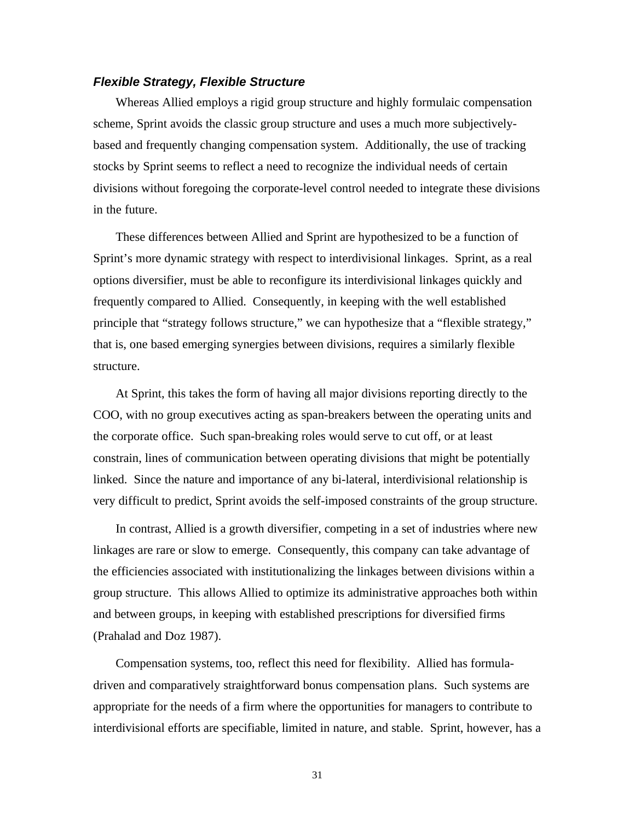## *Flexible Strategy, Flexible Structure*

Whereas Allied employs a rigid group structure and highly formulaic compensation scheme, Sprint avoids the classic group structure and uses a much more subjectivelybased and frequently changing compensation system. Additionally, the use of tracking stocks by Sprint seems to reflect a need to recognize the individual needs of certain divisions without foregoing the corporate-level control needed to integrate these divisions in the future.

These differences between Allied and Sprint are hypothesized to be a function of Sprint's more dynamic strategy with respect to interdivisional linkages. Sprint, as a real options diversifier, must be able to reconfigure its interdivisional linkages quickly and frequently compared to Allied. Consequently, in keeping with the well established principle that "strategy follows structure," we can hypothesize that a "flexible strategy," that is, one based emerging synergies between divisions, requires a similarly flexible structure.

At Sprint, this takes the form of having all major divisions reporting directly to the COO, with no group executives acting as span-breakers between the operating units and the corporate office. Such span-breaking roles would serve to cut off, or at least constrain, lines of communication between operating divisions that might be potentially linked. Since the nature and importance of any bi-lateral, interdivisional relationship is very difficult to predict, Sprint avoids the self-imposed constraints of the group structure.

In contrast, Allied is a growth diversifier, competing in a set of industries where new linkages are rare or slow to emerge. Consequently, this company can take advantage of the efficiencies associated with institutionalizing the linkages between divisions within a group structure. This allows Allied to optimize its administrative approaches both within and between groups, in keeping with established prescriptions for diversified firms (Prahalad and Doz 1987).

Compensation systems, too, reflect this need for flexibility. Allied has formuladriven and comparatively straightforward bonus compensation plans. Such systems are appropriate for the needs of a firm where the opportunities for managers to contribute to interdivisional efforts are specifiable, limited in nature, and stable. Sprint, however, has a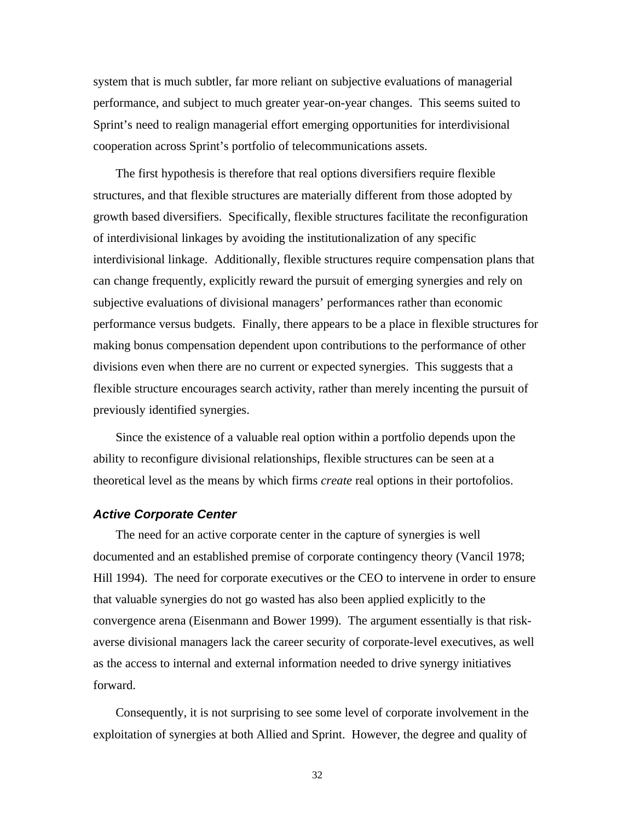system that is much subtler, far more reliant on subjective evaluations of managerial performance, and subject to much greater year-on-year changes. This seems suited to Sprint's need to realign managerial effort emerging opportunities for interdivisional cooperation across Sprint's portfolio of telecommunications assets.

The first hypothesis is therefore that real options diversifiers require flexible structures, and that flexible structures are materially different from those adopted by growth based diversifiers. Specifically, flexible structures facilitate the reconfiguration of interdivisional linkages by avoiding the institutionalization of any specific interdivisional linkage. Additionally, flexible structures require compensation plans that can change frequently, explicitly reward the pursuit of emerging synergies and rely on subjective evaluations of divisional managers' performances rather than economic performance versus budgets. Finally, there appears to be a place in flexible structures for making bonus compensation dependent upon contributions to the performance of other divisions even when there are no current or expected synergies. This suggests that a flexible structure encourages search activity, rather than merely incenting the pursuit of previously identified synergies.

Since the existence of a valuable real option within a portfolio depends upon the ability to reconfigure divisional relationships, flexible structures can be seen at a theoretical level as the means by which firms *create* real options in their portofolios.

#### *Active Corporate Center*

The need for an active corporate center in the capture of synergies is well documented and an established premise of corporate contingency theory (Vancil 1978; Hill 1994). The need for corporate executives or the CEO to intervene in order to ensure that valuable synergies do not go wasted has also been applied explicitly to the convergence arena (Eisenmann and Bower 1999). The argument essentially is that riskaverse divisional managers lack the career security of corporate-level executives, as well as the access to internal and external information needed to drive synergy initiatives forward.

Consequently, it is not surprising to see some level of corporate involvement in the exploitation of synergies at both Allied and Sprint. However, the degree and quality of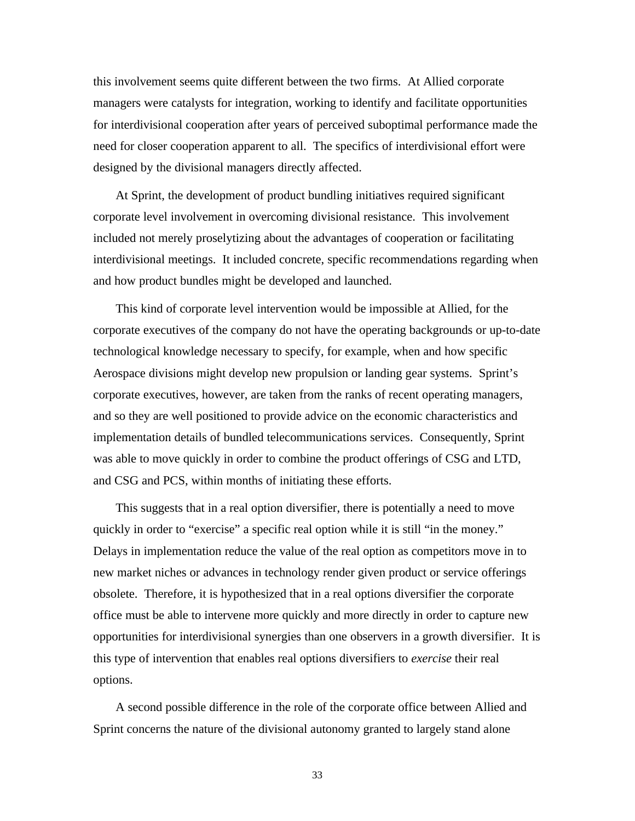this involvement seems quite different between the two firms. At Allied corporate managers were catalysts for integration, working to identify and facilitate opportunities for interdivisional cooperation after years of perceived suboptimal performance made the need for closer cooperation apparent to all. The specifics of interdivisional effort were designed by the divisional managers directly affected.

At Sprint, the development of product bundling initiatives required significant corporate level involvement in overcoming divisional resistance. This involvement included not merely proselytizing about the advantages of cooperation or facilitating interdivisional meetings. It included concrete, specific recommendations regarding when and how product bundles might be developed and launched.

This kind of corporate level intervention would be impossible at Allied, for the corporate executives of the company do not have the operating backgrounds or up-to-date technological knowledge necessary to specify, for example, when and how specific Aerospace divisions might develop new propulsion or landing gear systems. Sprint's corporate executives, however, are taken from the ranks of recent operating managers, and so they are well positioned to provide advice on the economic characteristics and implementation details of bundled telecommunications services. Consequently, Sprint was able to move quickly in order to combine the product offerings of CSG and LTD, and CSG and PCS, within months of initiating these efforts.

This suggests that in a real option diversifier, there is potentially a need to move quickly in order to "exercise" a specific real option while it is still "in the money." Delays in implementation reduce the value of the real option as competitors move in to new market niches or advances in technology render given product or service offerings obsolete. Therefore, it is hypothesized that in a real options diversifier the corporate office must be able to intervene more quickly and more directly in order to capture new opportunities for interdivisional synergies than one observers in a growth diversifier. It is this type of intervention that enables real options diversifiers to *exercise* their real options.

A second possible difference in the role of the corporate office between Allied and Sprint concerns the nature of the divisional autonomy granted to largely stand alone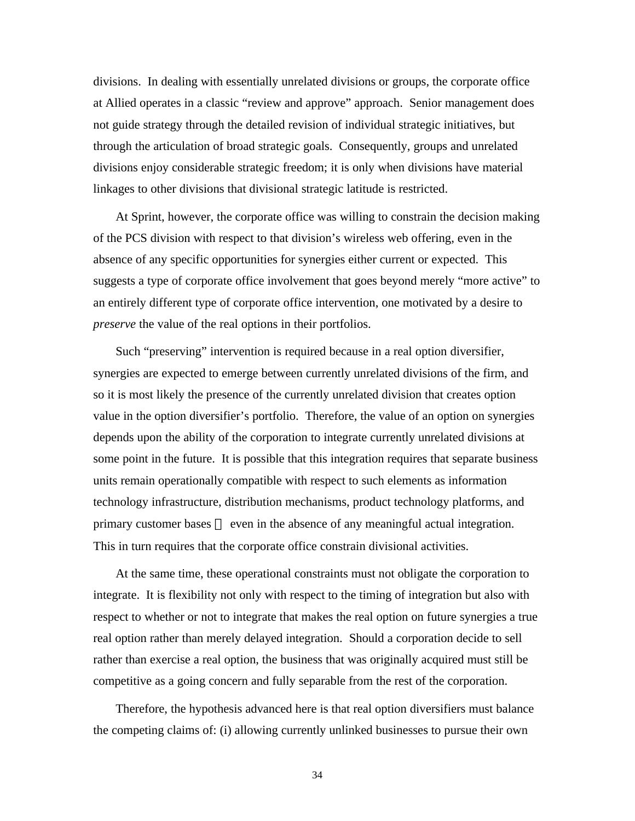divisions. In dealing with essentially unrelated divisions or groups, the corporate office at Allied operates in a classic "review and approve" approach. Senior management does not guide strategy through the detailed revision of individual strategic initiatives, but through the articulation of broad strategic goals. Consequently, groups and unrelated divisions enjoy considerable strategic freedom; it is only when divisions have material linkages to other divisions that divisional strategic latitude is restricted.

At Sprint, however, the corporate office was willing to constrain the decision making of the PCS division with respect to that division's wireless web offering, even in the absence of any specific opportunities for synergies either current or expected. This suggests a type of corporate office involvement that goes beyond merely "more active" to an entirely different type of corporate office intervention, one motivated by a desire to *preserve* the value of the real options in their portfolios.

Such "preserving" intervention is required because in a real option diversifier, synergies are expected to emerge between currently unrelated divisions of the firm, and so it is most likely the presence of the currently unrelated division that creates option value in the option diversifier's portfolio. Therefore, the value of an option on synergies depends upon the ability of the corporation to integrate currently unrelated divisions at some point in the future. It is possible that this integration requires that separate business units remain operationally compatible with respect to such elements as information technology infrastructure, distribution mechanisms, product technology platforms, and primary customer bases — even in the absence of any meaningful actual integration. This in turn requires that the corporate office constrain divisional activities.

At the same time, these operational constraints must not obligate the corporation to integrate. It is flexibility not only with respect to the timing of integration but also with respect to whether or not to integrate that makes the real option on future synergies a true real option rather than merely delayed integration. Should a corporation decide to sell rather than exercise a real option, the business that was originally acquired must still be competitive as a going concern and fully separable from the rest of the corporation.

Therefore, the hypothesis advanced here is that real option diversifiers must balance the competing claims of: (i) allowing currently unlinked businesses to pursue their own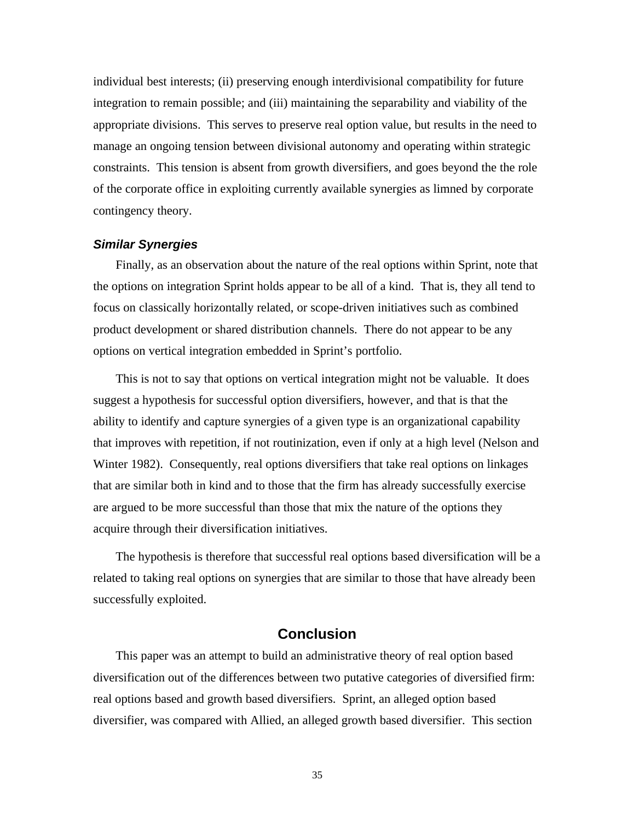individual best interests; (ii) preserving enough interdivisional compatibility for future integration to remain possible; and (iii) maintaining the separability and viability of the appropriate divisions. This serves to preserve real option value, but results in the need to manage an ongoing tension between divisional autonomy and operating within strategic constraints. This tension is absent from growth diversifiers, and goes beyond the the role of the corporate office in exploiting currently available synergies as limned by corporate contingency theory.

## *Similar Synergies*

Finally, as an observation about the nature of the real options within Sprint, note that the options on integration Sprint holds appear to be all of a kind. That is, they all tend to focus on classically horizontally related, or scope-driven initiatives such as combined product development or shared distribution channels. There do not appear to be any options on vertical integration embedded in Sprint's portfolio.

This is not to say that options on vertical integration might not be valuable. It does suggest a hypothesis for successful option diversifiers, however, and that is that the ability to identify and capture synergies of a given type is an organizational capability that improves with repetition, if not routinization, even if only at a high level (Nelson and Winter 1982). Consequently, real options diversifiers that take real options on linkages that are similar both in kind and to those that the firm has already successfully exercise are argued to be more successful than those that mix the nature of the options they acquire through their diversification initiatives.

The hypothesis is therefore that successful real options based diversification will be a related to taking real options on synergies that are similar to those that have already been successfully exploited.

## **Conclusion**

This paper was an attempt to build an administrative theory of real option based diversification out of the differences between two putative categories of diversified firm: real options based and growth based diversifiers. Sprint, an alleged option based diversifier, was compared with Allied, an alleged growth based diversifier. This section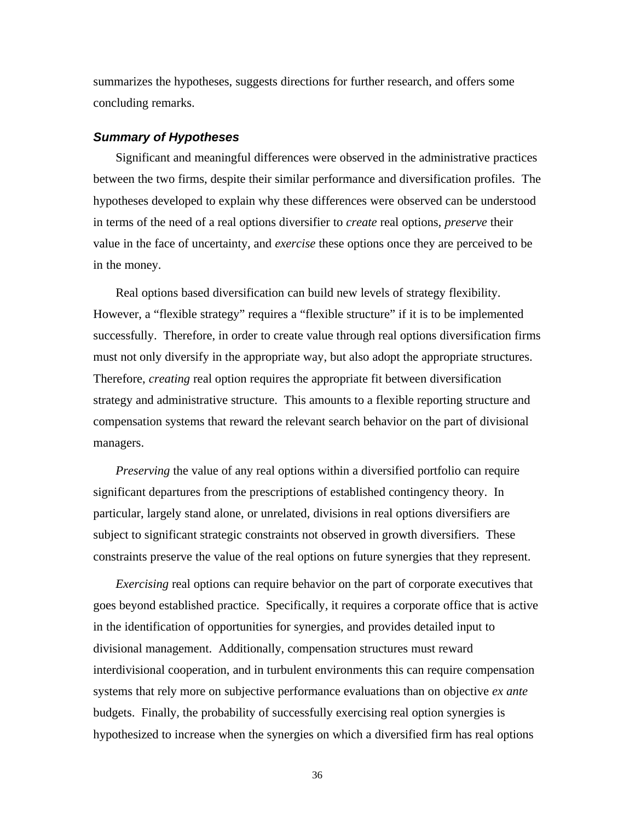summarizes the hypotheses, suggests directions for further research, and offers some concluding remarks.

## *Summary of Hypotheses*

Significant and meaningful differences were observed in the administrative practices between the two firms, despite their similar performance and diversification profiles. The hypotheses developed to explain why these differences were observed can be understood in terms of the need of a real options diversifier to *create* real options, *preserve* their value in the face of uncertainty, and *exercise* these options once they are perceived to be in the money.

Real options based diversification can build new levels of strategy flexibility. However, a "flexible strategy" requires a "flexible structure" if it is to be implemented successfully. Therefore, in order to create value through real options diversification firms must not only diversify in the appropriate way, but also adopt the appropriate structures. Therefore, *creating* real option requires the appropriate fit between diversification strategy and administrative structure. This amounts to a flexible reporting structure and compensation systems that reward the relevant search behavior on the part of divisional managers.

*Preserving* the value of any real options within a diversified portfolio can require significant departures from the prescriptions of established contingency theory. In particular, largely stand alone, or unrelated, divisions in real options diversifiers are subject to significant strategic constraints not observed in growth diversifiers. These constraints preserve the value of the real options on future synergies that they represent.

*Exercising* real options can require behavior on the part of corporate executives that goes beyond established practice. Specifically, it requires a corporate office that is active in the identification of opportunities for synergies, and provides detailed input to divisional management. Additionally, compensation structures must reward interdivisional cooperation, and in turbulent environments this can require compensation systems that rely more on subjective performance evaluations than on objective *ex ante* budgets. Finally, the probability of successfully exercising real option synergies is hypothesized to increase when the synergies on which a diversified firm has real options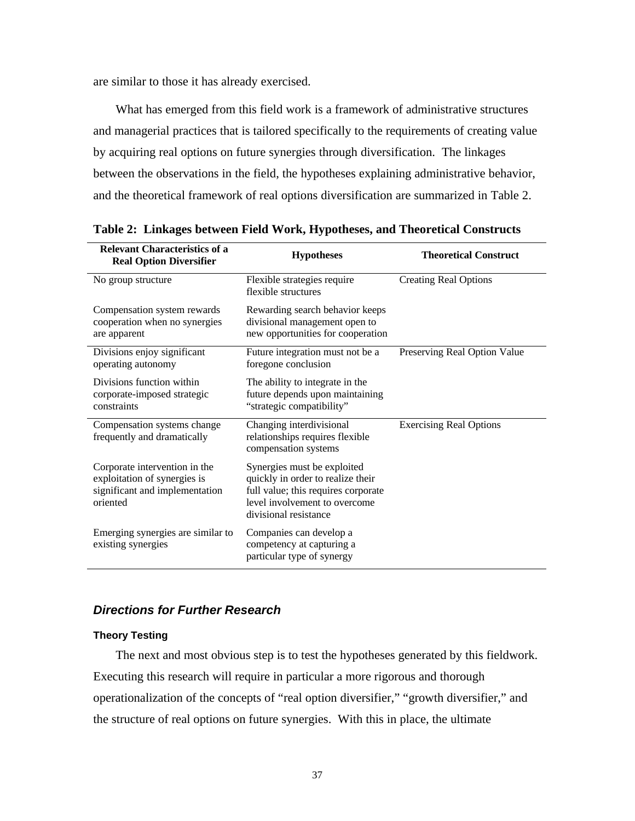are similar to those it has already exercised.

What has emerged from this field work is a framework of administrative structures and managerial practices that is tailored specifically to the requirements of creating value by acquiring real options on future synergies through diversification. The linkages between the observations in the field, the hypotheses explaining administrative behavior, and the theoretical framework of real options diversification are summarized in Table 2.

| <b>Relevant Characteristics of a</b><br><b>Real Option Diversifier</b>                                      | <b>Hypotheses</b>                                                                                                                                                 | <b>Theoretical Construct</b>   |
|-------------------------------------------------------------------------------------------------------------|-------------------------------------------------------------------------------------------------------------------------------------------------------------------|--------------------------------|
| No group structure                                                                                          | Flexible strategies require<br>flexible structures                                                                                                                | <b>Creating Real Options</b>   |
| Compensation system rewards<br>cooperation when no synergies<br>are apparent                                | Rewarding search behavior keeps<br>divisional management open to<br>new opportunities for cooperation                                                             |                                |
| Divisions enjoy significant<br>operating autonomy                                                           | Future integration must not be a<br>foregone conclusion                                                                                                           | Preserving Real Option Value   |
| Divisions function within<br>corporate-imposed strategic<br>constraints                                     | The ability to integrate in the<br>future depends upon maintaining<br>"strategic compatibility"                                                                   |                                |
| Compensation systems change<br>frequently and dramatically                                                  | Changing interdivisional<br>relationships requires flexible<br>compensation systems                                                                               | <b>Exercising Real Options</b> |
| Corporate intervention in the<br>exploitation of synergies is<br>significant and implementation<br>oriented | Synergies must be exploited<br>quickly in order to realize their<br>full value; this requires corporate<br>level involvement to overcome<br>divisional resistance |                                |
| Emerging synergies are similar to<br>existing synergies                                                     | Companies can develop a<br>competency at capturing a<br>particular type of synergy                                                                                |                                |

**Table 2: Linkages between Field Work, Hypotheses, and Theoretical Constructs**

## *Directions for Further Research*

## **Theory Testing**

The next and most obvious step is to test the hypotheses generated by this fieldwork. Executing this research will require in particular a more rigorous and thorough operationalization of the concepts of "real option diversifier," "growth diversifier," and the structure of real options on future synergies. With this in place, the ultimate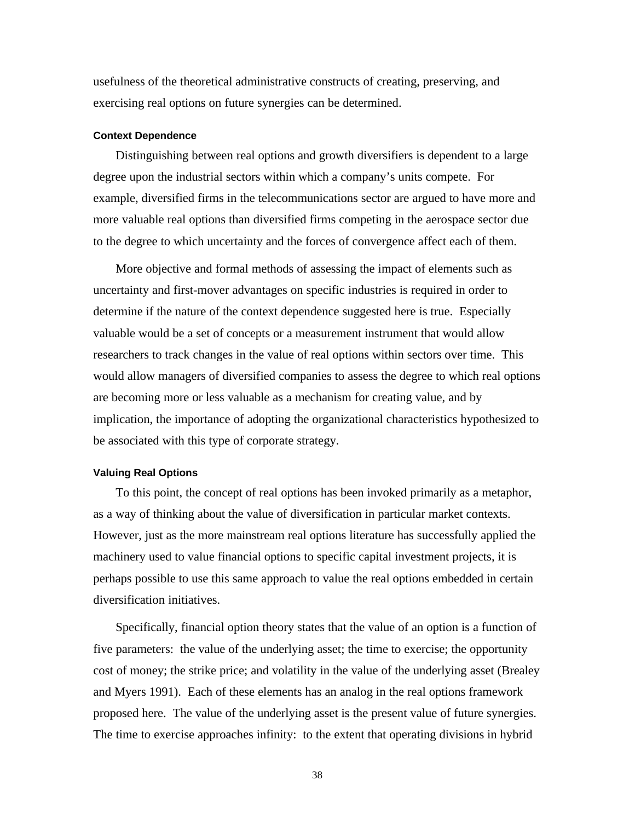usefulness of the theoretical administrative constructs of creating, preserving, and exercising real options on future synergies can be determined.

#### **Context Dependence**

Distinguishing between real options and growth diversifiers is dependent to a large degree upon the industrial sectors within which a company's units compete. For example, diversified firms in the telecommunications sector are argued to have more and more valuable real options than diversified firms competing in the aerospace sector due to the degree to which uncertainty and the forces of convergence affect each of them.

More objective and formal methods of assessing the impact of elements such as uncertainty and first-mover advantages on specific industries is required in order to determine if the nature of the context dependence suggested here is true. Especially valuable would be a set of concepts or a measurement instrument that would allow researchers to track changes in the value of real options within sectors over time. This would allow managers of diversified companies to assess the degree to which real options are becoming more or less valuable as a mechanism for creating value, and by implication, the importance of adopting the organizational characteristics hypothesized to be associated with this type of corporate strategy.

#### **Valuing Real Options**

To this point, the concept of real options has been invoked primarily as a metaphor, as a way of thinking about the value of diversification in particular market contexts. However, just as the more mainstream real options literature has successfully applied the machinery used to value financial options to specific capital investment projects, it is perhaps possible to use this same approach to value the real options embedded in certain diversification initiatives.

Specifically, financial option theory states that the value of an option is a function of five parameters: the value of the underlying asset; the time to exercise; the opportunity cost of money; the strike price; and volatility in the value of the underlying asset (Brealey and Myers 1991). Each of these elements has an analog in the real options framework proposed here. The value of the underlying asset is the present value of future synergies. The time to exercise approaches infinity: to the extent that operating divisions in hybrid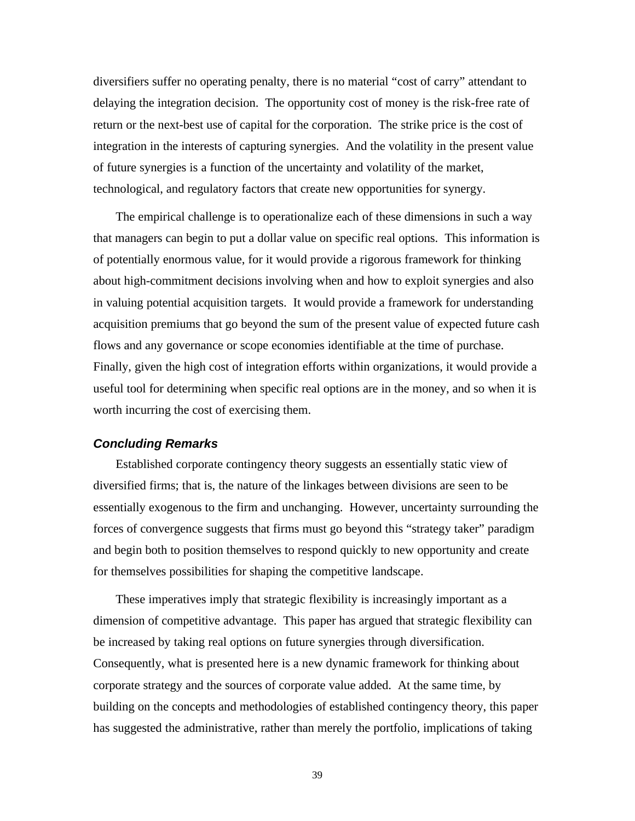diversifiers suffer no operating penalty, there is no material "cost of carry" attendant to delaying the integration decision. The opportunity cost of money is the risk-free rate of return or the next-best use of capital for the corporation. The strike price is the cost of integration in the interests of capturing synergies. And the volatility in the present value of future synergies is a function of the uncertainty and volatility of the market, technological, and regulatory factors that create new opportunities for synergy.

The empirical challenge is to operationalize each of these dimensions in such a way that managers can begin to put a dollar value on specific real options. This information is of potentially enormous value, for it would provide a rigorous framework for thinking about high-commitment decisions involving when and how to exploit synergies and also in valuing potential acquisition targets. It would provide a framework for understanding acquisition premiums that go beyond the sum of the present value of expected future cash flows and any governance or scope economies identifiable at the time of purchase. Finally, given the high cost of integration efforts within organizations, it would provide a useful tool for determining when specific real options are in the money, and so when it is worth incurring the cost of exercising them.

## *Concluding Remarks*

Established corporate contingency theory suggests an essentially static view of diversified firms; that is, the nature of the linkages between divisions are seen to be essentially exogenous to the firm and unchanging. However, uncertainty surrounding the forces of convergence suggests that firms must go beyond this "strategy taker" paradigm and begin both to position themselves to respond quickly to new opportunity and create for themselves possibilities for shaping the competitive landscape.

These imperatives imply that strategic flexibility is increasingly important as a dimension of competitive advantage. This paper has argued that strategic flexibility can be increased by taking real options on future synergies through diversification. Consequently, what is presented here is a new dynamic framework for thinking about corporate strategy and the sources of corporate value added. At the same time, by building on the concepts and methodologies of established contingency theory, this paper has suggested the administrative, rather than merely the portfolio, implications of taking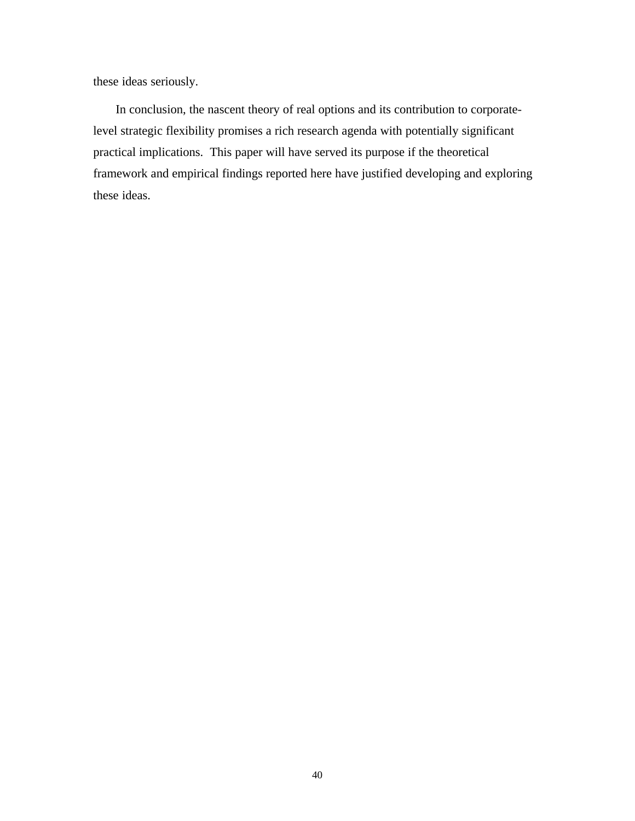these ideas seriously.

In conclusion, the nascent theory of real options and its contribution to corporatelevel strategic flexibility promises a rich research agenda with potentially significant practical implications. This paper will have served its purpose if the theoretical framework and empirical findings reported here have justified developing and exploring these ideas.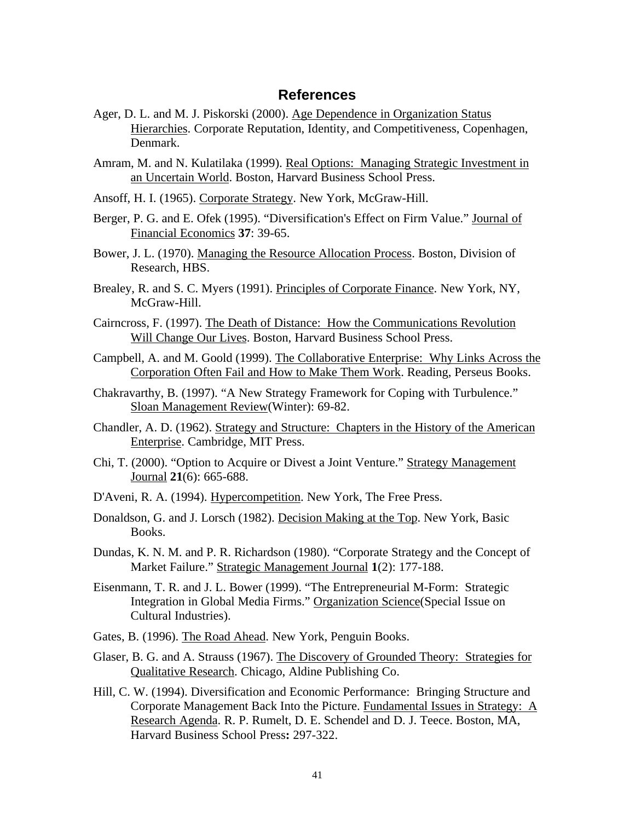## **References**

- Ager, D. L. and M. J. Piskorski (2000). Age Dependence in Organization Status Hierarchies. Corporate Reputation, Identity, and Competitiveness, Copenhagen, Denmark.
- Amram, M. and N. Kulatilaka (1999). Real Options: Managing Strategic Investment in an Uncertain World. Boston, Harvard Business School Press.
- Ansoff, H. I. (1965). Corporate Strategy. New York, McGraw-Hill.
- Berger, P. G. and E. Ofek (1995). "Diversification's Effect on Firm Value." Journal of Financial Economics **37**: 39-65.
- Bower, J. L. (1970). Managing the Resource Allocation Process. Boston, Division of Research, HBS.
- Brealey, R. and S. C. Myers (1991). Principles of Corporate Finance. New York, NY, McGraw-Hill.
- Cairncross, F. (1997). The Death of Distance: How the Communications Revolution Will Change Our Lives. Boston, Harvard Business School Press.
- Campbell, A. and M. Goold (1999). The Collaborative Enterprise: Why Links Across the Corporation Often Fail and How to Make Them Work. Reading, Perseus Books.
- Chakravarthy, B. (1997). "A New Strategy Framework for Coping with Turbulence." Sloan Management Review(Winter): 69-82.
- Chandler, A. D. (1962). Strategy and Structure: Chapters in the History of the American Enterprise. Cambridge, MIT Press.
- Chi, T. (2000). "Option to Acquire or Divest a Joint Venture." Strategy Management Journal **21**(6): 665-688.
- D'Aveni, R. A. (1994). Hypercompetition. New York, The Free Press.
- Donaldson, G. and J. Lorsch (1982). Decision Making at the Top. New York, Basic Books.
- Dundas, K. N. M. and P. R. Richardson (1980). "Corporate Strategy and the Concept of Market Failure." Strategic Management Journal **1**(2): 177-188.
- Eisenmann, T. R. and J. L. Bower (1999). "The Entrepreneurial M-Form: Strategic Integration in Global Media Firms." Organization Science(Special Issue on Cultural Industries).
- Gates, B. (1996). The Road Ahead. New York, Penguin Books.
- Glaser, B. G. and A. Strauss (1967). The Discovery of Grounded Theory: Strategies for Qualitative Research. Chicago, Aldine Publishing Co.
- Hill, C. W. (1994). Diversification and Economic Performance: Bringing Structure and Corporate Management Back Into the Picture. Fundamental Issues in Strategy: A Research Agenda. R. P. Rumelt, D. E. Schendel and D. J. Teece. Boston, MA, Harvard Business School Press**:** 297-322.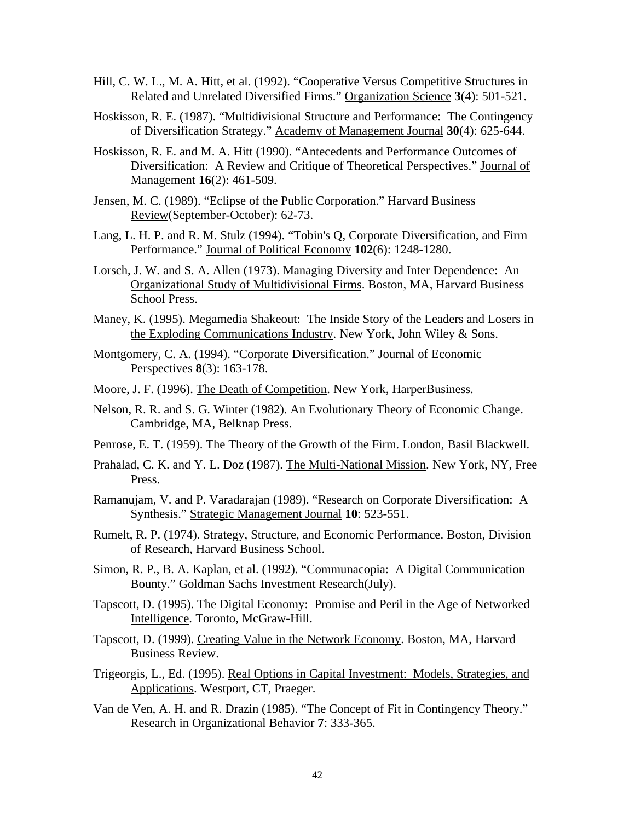- Hill, C. W. L., M. A. Hitt, et al. (1992). "Cooperative Versus Competitive Structures in Related and Unrelated Diversified Firms." Organization Science **3**(4): 501-521.
- Hoskisson, R. E. (1987). "Multidivisional Structure and Performance: The Contingency of Diversification Strategy." Academy of Management Journal **30**(4): 625-644.
- Hoskisson, R. E. and M. A. Hitt (1990). "Antecedents and Performance Outcomes of Diversification: A Review and Critique of Theoretical Perspectives." Journal of Management **16**(2): 461-509.
- Jensen, M. C. (1989). "Eclipse of the Public Corporation." Harvard Business Review(September-October): 62-73.
- Lang, L. H. P. and R. M. Stulz (1994). "Tobin's Q, Corporate Diversification, and Firm Performance." Journal of Political Economy **102**(6): 1248-1280.
- Lorsch, J. W. and S. A. Allen (1973). Managing Diversity and Inter Dependence: An Organizational Study of Multidivisional Firms. Boston, MA, Harvard Business School Press.
- Maney, K. (1995). Megamedia Shakeout: The Inside Story of the Leaders and Losers in the Exploding Communications Industry. New York, John Wiley & Sons.
- Montgomery, C. A. (1994). "Corporate Diversification." Journal of Economic Perspectives **8**(3): 163-178.
- Moore, J. F. (1996). The Death of Competition. New York, HarperBusiness.
- Nelson, R. R. and S. G. Winter (1982). An Evolutionary Theory of Economic Change. Cambridge, MA, Belknap Press.
- Penrose, E. T. (1959). The Theory of the Growth of the Firm. London, Basil Blackwell.
- Prahalad, C. K. and Y. L. Doz (1987). The Multi-National Mission. New York, NY, Free Press.
- Ramanujam, V. and P. Varadarajan (1989). "Research on Corporate Diversification: A Synthesis." Strategic Management Journal **10**: 523-551.
- Rumelt, R. P. (1974). Strategy, Structure, and Economic Performance. Boston, Division of Research, Harvard Business School.
- Simon, R. P., B. A. Kaplan, et al. (1992). "Communacopia: A Digital Communication Bounty." Goldman Sachs Investment Research(July).
- Tapscott, D. (1995). The Digital Economy: Promise and Peril in the Age of Networked Intelligence. Toronto, McGraw-Hill.
- Tapscott, D. (1999). Creating Value in the Network Economy. Boston, MA, Harvard Business Review.
- Trigeorgis, L., Ed. (1995). Real Options in Capital Investment: Models, Strategies, and Applications. Westport, CT, Praeger.
- Van de Ven, A. H. and R. Drazin (1985). "The Concept of Fit in Contingency Theory." Research in Organizational Behavior **7**: 333-365.